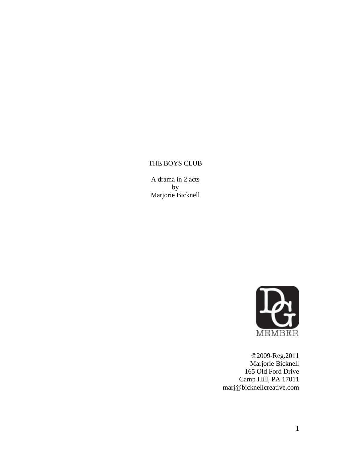# THE BOYS CLUB

A drama in 2 acts by Marjorie Bicknell



©2009-Reg.2011 Marjorie Bicknell 165 Old Ford Drive Camp Hill, PA 17011 marj@bicknellcreative.com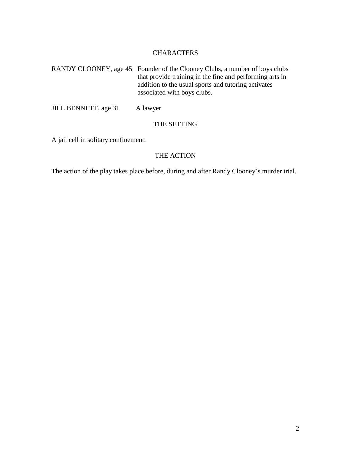# CHARACTERS

RANDY CLOONEY, age 45 Founder of the Clooney Clubs, a number of boys clubs that provide training in the fine and performing arts in addition to the usual sports and tutoring activates associated with boys clubs.

JILL BENNETT, age 31 A lawyer

# THE SETTING

A jail cell in solitary confinement.

# THE ACTION

The action of the play takes place before, during and after Randy Clooney's murder trial.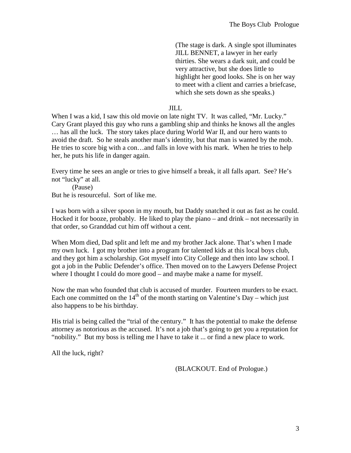(The stage is dark. A single spot illuminates JILL BENNET, a lawyer in her early thirties. She wears a dark suit, and could be very attractive, but she does little to highlight her good looks. She is on her way to meet with a client and carries a briefcase, which she sets down as she speaks.)

#### JILL

When I was a kid, I saw this old movie on late night TV. It was called, "Mr. Lucky." Cary Grant played this guy who runs a gambling ship and thinks he knows all the angles … has all the luck. The story takes place during World War II, and our hero wants to avoid the draft. So he steals another man's identity, but that man is wanted by the mob. He tries to score big with a con…and falls in love with his mark. When he tries to help her, he puts his life in danger again.

Every time he sees an angle or tries to give himself a break, it all falls apart. See? He's not "lucky" at all.

(Pause) But he is resourceful. Sort of like me.

I was born with a silver spoon in my mouth, but Daddy snatched it out as fast as he could. Hocked it for booze, probably. He liked to play the piano – and drink – not necessarily in that order, so Granddad cut him off without a cent.

When Mom died, Dad split and left me and my brother Jack alone. That's when I made my own luck. I got my brother into a program for talented kids at this local boys club, and they got him a scholarship. Got myself into City College and then into law school. I got a job in the Public Defender's office. Then moved on to the Lawyers Defense Project where I thought I could do more good – and maybe make a name for myself.

Now the man who founded that club is accused of murder. Fourteen murders to be exact. Each one committed on the  $14<sup>th</sup>$  of the month starting on Valentine's Day – which just also happens to be his birthday.

His trial is being called the "trial of the century." It has the potential to make the defense attorney as notorious as the accused. It's not a job that's going to get you a reputation for "nobility." But my boss is telling me I have to take it ... or find a new place to work.

All the luck, right?

(BLACKOUT. End of Prologue.)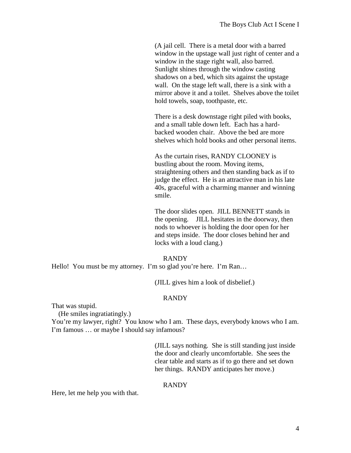(A jail cell. There is a metal door with a barred window in the upstage wall just right of center and a window in the stage right wall, also barred. Sunlight shines through the window casting shadows on a bed, which sits against the upstage wall. On the stage left wall, there is a sink with a mirror above it and a toilet. Shelves above the toilet hold towels, soap, toothpaste, etc.

There is a desk downstage right piled with books, and a small table down left. Each has a hardbacked wooden chair. Above the bed are more shelves which hold books and other personal items.

As the curtain rises, RANDY CLOONEY is bustling about the room. Moving items, straightening others and then standing back as if to judge the effect. He is an attractive man in his late 40s, graceful with a charming manner and winning smile.

The door slides open. JILL BENNETT stands in the opening. JILL hesitates in the doorway, then nods to whoever is holding the door open for her and steps inside. The door closes behind her and locks with a loud clang.)

#### RANDY

Hello! You must be my attorney. I'm so glad you're here. I'm Ran...

(JILL gives him a look of disbelief.)

#### RANDY

That was stupid.

(He smiles ingratiatingly.)

You're my lawyer, right? You know who I am. These days, everybody knows who I am. I'm famous … or maybe I should say infamous?

> (JILL says nothing. She is still standing just inside the door and clearly uncomfortable. She sees the clear table and starts as if to go there and set down her things. RANDY anticipates her move.)

#### RANDY

Here, let me help you with that.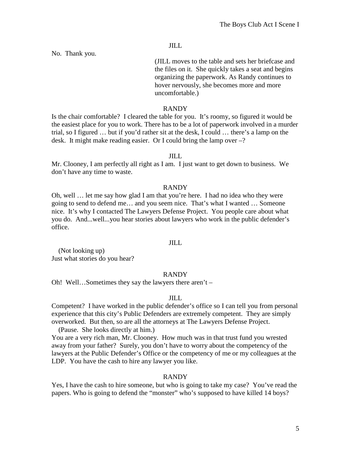No. Thank you.

(JILL moves to the table and sets her briefcase and the files on it. She quickly takes a seat and begins organizing the paperwork. As Randy continues to hover nervously, she becomes more and more uncomfortable.)

#### RANDY

Is the chair comfortable? I cleared the table for you. It's roomy, so figured it would be the easiest place for you to work. There has to be a lot of paperwork involved in a murder trial, so I figured … but if you'd rather sit at the desk, I could … there's a lamp on the desk. It might make reading easier. Or I could bring the lamp over –?

#### JILL

Mr. Clooney, I am perfectly all right as I am. I just want to get down to business. We don't have any time to waste.

#### RANDY

Oh, well … let me say how glad I am that you're here. I had no idea who they were going to send to defend me… and you seem nice. That's what I wanted … Someone nice. It's why I contacted The Lawyers Defense Project. You people care about what you do. And...well...you hear stories about lawyers who work in the public defender's office.

#### JILL

 (Not looking up) Just what stories do you hear?

#### RANDY

Oh! Well…Sometimes they say the lawyers there aren't –

# JILL

Competent? I have worked in the public defender's office so I can tell you from personal experience that this city's Public Defenders are extremely competent. They are simply overworked. But then, so are all the attorneys at The Lawyers Defense Project.

(Pause. She looks directly at him.)

You are a very rich man, Mr. Clooney. How much was in that trust fund you wrested away from your father? Surely, you don't have to worry about the competency of the lawyers at the Public Defender's Office or the competency of me or my colleagues at the LDP. You have the cash to hire any lawyer you like.

# RANDY

Yes, I have the cash to hire someone, but who is going to take my case? You've read the papers. Who is going to defend the "monster" who's supposed to have killed 14 boys?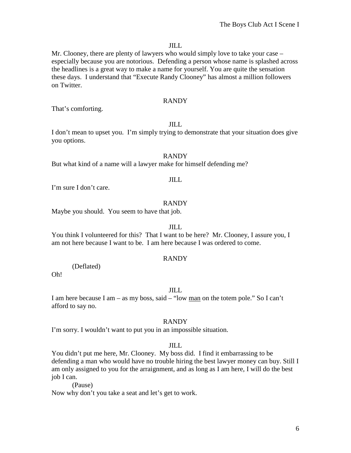Mr. Clooney, there are plenty of lawyers who would simply love to take your case – especially because you are notorious. Defending a person whose name is splashed across the headlines is a great way to make a name for yourself. You are quite the sensation these days. I understand that "Execute Randy Clooney" has almost a million followers on Twitter.

# RANDY

That's comforting.

#### JILL

I don't mean to upset you. I'm simply trying to demonstrate that your situation does give you options.

#### RANDY

But what kind of a name will a lawyer make for himself defending me?

# JILL

I'm sure I don't care.

#### RANDY

Maybe you should. You seem to have that job.

#### JILL

You think I volunteered for this? That I want to be here? Mr. Clooney, I assure you, I am not here because I want to be. I am here because I was ordered to come.

#### RANDY

(Deflated)

Oh!

#### JILL

I am here because I am – as my boss, said – "low man on the totem pole." So I can't afford to say no.

#### RANDY

I'm sorry. I wouldn't want to put you in an impossible situation.

#### JILL

You didn't put me here, Mr. Clooney. My boss did. I find it embarrassing to be defending a man who would have no trouble hiring the best lawyer money can buy. Still I am only assigned to you for the arraignment, and as long as I am here, I will do the best job I can.

(Pause)

Now why don't you take a seat and let's get to work.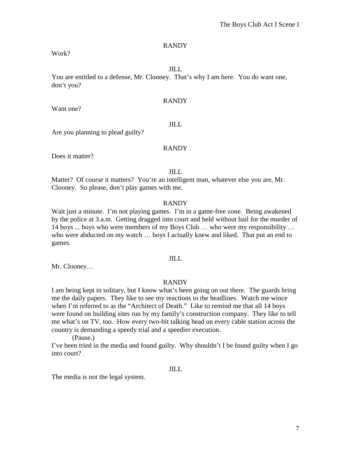Work?

# JILL

You are entitled to a defense, Mr. Clooney. That's why I am here. You do want one, don't you?

# RANDY

Want one?

#### JILL

Are you planning to plead guilty?

# RANDY

Does it matter?

JILL

Matter? Of course it matters? You're an intelligent man, whatever else you are, Mr. Clooney. So please, don't play games with me.

#### RANDY

Wait just a minute. I'm not playing games. I'm in a game-free zone. Being awakened by the police at 3.a.m. Getting dragged into court and held without bail for the murder of 14 boys ... boys who were members of my Boys Club … who were my responsibility … who were abducted on my watch ... boys I actually knew and liked. That put an end to games.

#### JILL

Mr. Clooney…

#### RANDY

I am being kept in solitary, but I know what's been going on out there. The guards bring me the daily papers. They like to see my reactions to the headlines. Watch me wince when I'm referred to as the "Architect of Death." Like to remind me that all 14 boys were found on building sites run by my family's construction company. They like to tell me what's on TV, too. How every two-bit talking head on every cable station across the country is demanding a speedy trial and a speedier execution.

(Pause.)

I've been tried in the media and found guilty. Why shouldn't I be found guilty when I go into court?

### JILL

The media is not the legal system.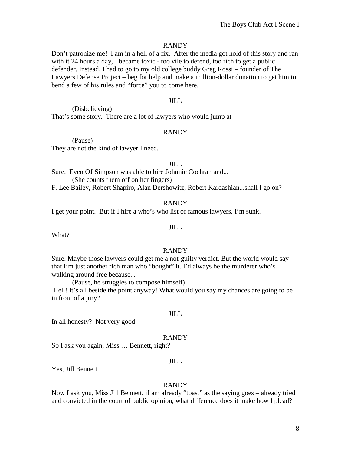Don't patronize me! I am in a hell of a fix. After the media got hold of this story and ran with it 24 hours a day, I became toxic - too vile to defend, too rich to get a public defender. Instead, I had to go to my old college buddy Greg Rossi – founder of The Lawyers Defense Project – beg for help and make a million-dollar donation to get him to bend a few of his rules and "force" you to come here.

# JILL

(Disbelieving) That's some story. There are a lot of lawyers who would jump at-

# RANDY

(Pause)

They are not the kind of lawyer I need.

### JILL

Sure. Even OJ Simpson was able to hire Johnnie Cochran and... (She counts them off on her fingers)

F. Lee Bailey, Robert Shapiro, Alan Dershowitz, Robert Kardashian...shall I go on?

#### RANDY

I get your point. But if I hire a who's who list of famous lawyers, I'm sunk.

# JILL

What?

#### RANDY

Sure. Maybe those lawyers could get me a not-guilty verdict. But the world would say that I'm just another rich man who "bought" it. I'd always be the murderer who's walking around free because...

(Pause, he struggles to compose himself)

Hell! It's all beside the point anyway! What would you say my chances are going to be in front of a jury?

#### JILL

In all honesty? Not very good.

#### RANDY

So I ask you again, Miss … Bennett, right?

#### JILL

Yes, Jill Bennett.

#### RANDY

Now I ask you, Miss Jill Bennett, if am already "toast" as the saying goes – already tried and convicted in the court of public opinion, what difference does it make how I plead?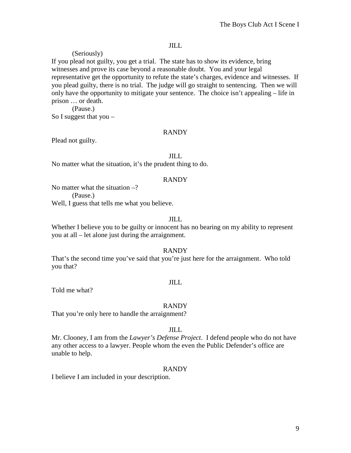(Seriously) If you plead not guilty, you get a trial. The state has to show its evidence, bring witnesses and prove its case beyond a reasonable doubt. You and your legal representative get the opportunity to refute the state's charges, evidence and witnesses. If you plead guilty, there is no trial. The judge will go straight to sentencing. Then we will only have the opportunity to mitigate your sentence. The choice isn't appealing – life in prison … or death.

(Pause.) So I suggest that you  $-$ 

# RANDY

Plead not guilty.

#### JILL

No matter what the situation, it's the prudent thing to do.

#### RANDY

No matter what the situation  $-$ ?

(Pause.)

Well, I guess that tells me what you believe.

#### JILL

Whether I believe you to be guilty or innocent has no bearing on my ability to represent you at all – let alone just during the arraignment.

#### RANDY

That's the second time you've said that you're just here for the arraignment. Who told you that?

# JILL

Told me what?

#### RANDY

That you're only here to handle the arraignment?

# JILL

Mr. Clooney, I am from the *Lawyer's Defense Project*. I defend people who do not have any other access to a lawyer. People whom the even the Public Defender's office are unable to help.

# RANDY

I believe I am included in your description.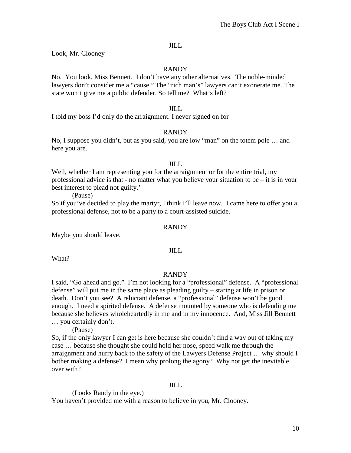Look, Mr. Clooney–

# RANDY

No. You look, Miss Bennett. I don't have any other alternatives. The noble-minded lawyers don't consider me a "cause." The "rich man's" lawyers can't exonerate me. The state won't give me a public defender. So tell me? What's left?

### JILL

I told my boss I'd only do the arraignment. I never signed on for-

# RANDY

No, I suppose you didn't, but as you said, you are low "man" on the totem pole … and here you are.

### JILL

Well, whether I am representing you for the arraignment or for the entire trial, my professional advice is that - no matter what you believe your situation to be – it is in your best interest to plead not guilty.'

(Pause)

So if you've decided to play the martyr, I think I'll leave now. I came here to offer you a professional defense, not to be a party to a court-assisted suicide.

### RANDY

Maybe you should leave.

JILL

What?

# RANDY

I said, "Go ahead and go." I'm not looking for a "professional" defense. A "professional defense" will put me in the same place as pleading guilty – staring at life in prison or death. Don't you see? A reluctant defense, a "professional" defense won't be good enough. I need a spirited defense. A defense mounted by someone who is defending me because she believes wholeheartedly in me and in my innocence. And, Miss Jill Bennett … you certainly don't.

(Pause)

So, if the only lawyer I can get is here because she couldn't find a way out of taking my case … because she thought she could hold her nose, speed walk me through the arraignment and hurry back to the safety of the Lawyers Defense Project … why should I bother making a defense? I mean why prolong the agony? Why not get the inevitable over with?

# JILL

(Looks Randy in the eye.) You haven't provided me with a reason to believe in you, Mr. Clooney.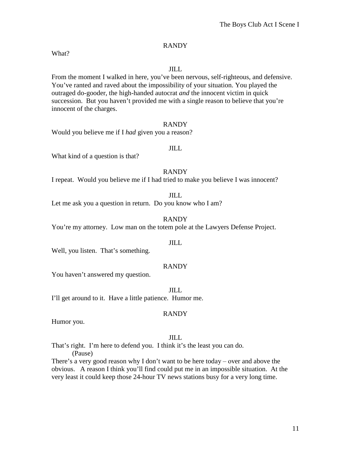What?

# JILL

From the moment I walked in here, you've been nervous, self-righteous, and defensive. You've ranted and raved about the impossibility of your situation. You played the outraged do-gooder, the high-handed autocrat *and* the innocent victim in quick succession. But you haven't provided me with a single reason to believe that you're innocent of the charges.

#### RANDY

Would you believe me if I *had* given you a reason?

# JILL

What kind of a question is that?

# RANDY

I repeat. Would you believe me if I had tried to make you believe I was innocent?

JILL

Let me ask you a question in return. Do you know who I am?

RANDY

You're my attorney. Low man on the totem pole at the Lawyers Defense Project.

#### JILL

Well, you listen. That's something.

# RANDY

You haven't answered my question.

JILL

I'll get around to it. Have a little patience. Humor me.

# RANDY

Humor you.

# JILL

That's right. I'm here to defend you. I think it's the least you can do.

(Pause)

There's a very good reason why I don't want to be here today – over and above the obvious. A reason I think you'll find could put me in an impossible situation. At the very least it could keep those 24-hour TV news stations busy for a very long time.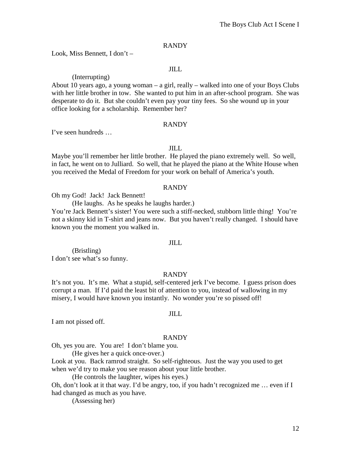Look, Miss Bennett, I don't –

# JILL

# (Interrupting)

About 10 years ago, a young woman – a girl, really – walked into one of your Boys Clubs with her little brother in tow. She wanted to put him in an after-school program. She was desperate to do it. But she couldn't even pay your tiny fees. So she wound up in your office looking for a scholarship. Remember her?

#### RANDY

I've seen hundreds …

#### JILL

Maybe you'll remember her little brother. He played the piano extremely well. So well, in fact, he went on to Julliard. So well, that he played the piano at the White House when you received the Medal of Freedom for your work on behalf of America's youth.

#### RANDY

Oh my God! Jack! Jack Bennett!

(He laughs. As he speaks he laughs harder.)

You're Jack Bennett's sister! You were such a stiff-necked, stubborn little thing! You're not a skinny kid in T-shirt and jeans now. But you haven't really changed. I should have known you the moment you walked in.

#### JILL

(Bristling) I don't see what's so funny.

#### RANDY

It's not you. It's me. What a stupid, self-centered jerk I've become. I guess prison does corrupt a man. If I'd paid the least bit of attention to you, instead of wallowing in my misery, I would have known you instantly. No wonder you're so pissed off!

#### JILL

I am not pissed off.

#### RANDY

Oh, yes you are. You are! I don't blame you.

(He gives her a quick once-over.)

Look at you. Back ramrod straight. So self-righteous. Just the way you used to get when we'd try to make you see reason about your little brother.

(He controls the laughter, wipes his eyes.)

Oh, don't look at it that way. I'd be angry, too, if you hadn't recognized me … even if I had changed as much as you have.

(Assessing her)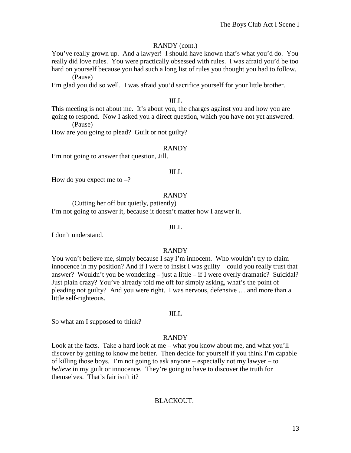# RANDY (cont.)

You've really grown up. And a lawyer! I should have known that's what you'd do. You really did love rules. You were practically obsessed with rules. I was afraid you'd be too hard on yourself because you had such a long list of rules you thought you had to follow. (Pause)

I'm glad you did so well. I was afraid you'd sacrifice yourself for your little brother.

# JILL

This meeting is not about me. It's about you, the charges against you and how you are going to respond. Now I asked you a direct question, which you have not yet answered. (Pause)

How are you going to plead? Guilt or not guilty?

# RANDY

I'm not going to answer that question, Jill.

# JILL

How do you expect me to  $-$ ?

# RANDY

(Cutting her off but quietly, patiently) I'm not going to answer it, because it doesn't matter how I answer it.

### JILL

I don't understand.

#### RANDY

You won't believe me, simply because I say I'm innocent. Who wouldn't try to claim innocence in my position? And if I were to insist I was guilty – could you really trust that answer? Wouldn't you be wondering – just a little – if I were overly dramatic? Suicidal? Just plain crazy? You've already told me off for simply asking, what's the point of pleading not guilty? And you were right. I was nervous, defensive … and more than a little self-righteous.

#### JILL

So what am I supposed to think?

#### RANDY

Look at the facts. Take a hard look at me – what you know about me, and what you'll discover by getting to know me better. Then decide for yourself if you think I'm capable of killing those boys. I'm not going to ask anyone – especially not my lawyer – to *believe* in my guilt or innocence. They're going to have to discover the truth for themselves. That's fair isn't it?

# BLACKOUT.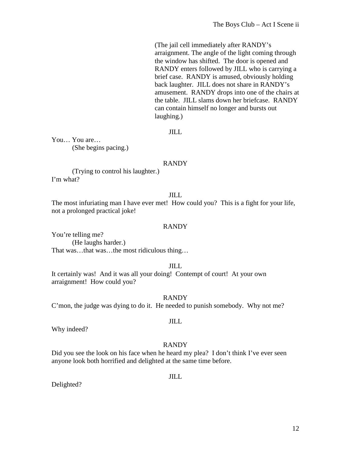(The jail cell immediately after RANDY's arraignment. The angle of the light coming through the window has shifted. The door is opened and RANDY enters followed by JILL who is carrying a brief case. RANDY is amused, obviously holding back laughter. JILL does not share in RANDY's amusement. RANDY drops into one of the chairs at the table. JILL slams down her briefcase. RANDY can contain himself no longer and bursts out laughing.)

# JILL

You… You are… (She begins pacing.)

#### RANDY

(Trying to control his laughter.) I'm what?

### JILL

The most infuriating man I have ever met! How could you? This is a fight for your life, not a prolonged practical joke!

#### RANDY

You're telling me? (He laughs harder.) That was…that was…the most ridiculous thing…

#### JILL

It certainly was! And it was all your doing! Contempt of court! At your own arraignment! How could you?

#### RANDY

JILL

C'mon, the judge was dying to do it. He needed to punish somebody. Why not me?

Why indeed?

#### RANDY

Did you see the look on his face when he heard my plea? I don't think I've ever seen anyone look both horrified and delighted at the same time before.

JILL

Delighted?

# 12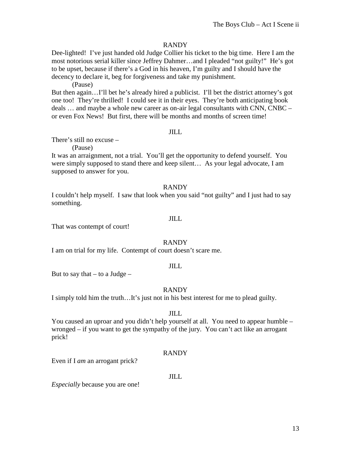Dee-lighted! I've just handed old Judge Collier his ticket to the big time. Here I am the most notorious serial killer since Jeffrey Dahmer…and I pleaded "not guilty!" He's got to be upset, because if there's a God in his heaven, I'm guilty and I should have the decency to declare it, beg for forgiveness and take my punishment.

(Pause)

But then again…I'll bet he's already hired a publicist. I'll bet the district attorney's got one too! They're thrilled! I could see it in their eyes. They're both anticipating book deals … and maybe a whole new career as on-air legal consultants with CNN, CNBC – or even Fox News! But first, there will be months and months of screen time!

# JILL

There's still no excuse –

(Pause)

It was an arraignment, not a trial. You'll get the opportunity to defend yourself. You were simply supposed to stand there and keep silent… As your legal advocate, I am supposed to answer for you.

#### RANDY

I couldn't help myself. I saw that look when you said "not guilty" and I just had to say something.

#### JILL

That was contempt of court!

#### RANDY

I am on trial for my life. Contempt of court doesn't scare me.

#### JILL

But to say that  $-$  to a Judge  $-$ 

#### RANDY

I simply told him the truth…It's just not in his best interest for me to plead guilty.

#### JILL

You caused an uproar and you didn't help yourself at all. You need to appear humble – wronged – if you want to get the sympathy of the jury. You can't act like an arrogant prick!

#### RANDY

Even if I *am* an arrogant prick?

#### JILL

*Especially* because you are one!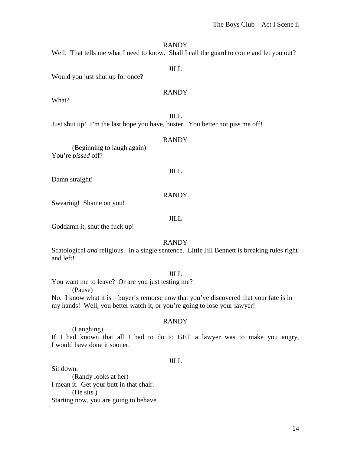Well. That tells me what I need to know. Shall I call the guard to come and let you out?

#### JILL

Would you just shut up for once?

# RANDY

What?

JILL Just shut up! I'm the last hope you have, buster. You better not piss me off!

#### RANDY

(Beginning to laugh again) You're *pissed* off?

Damn straight!

#### RANDY

JILL

Swearing! Shame on you!

#### JILL

Goddamn it, shut the fuck up!

# RANDY

Scatological *and* religious. In a single sentence. Little Jill Bennett is breaking rules right and left!

#### JILL

You want me to leave? Or are you just testing me?

(Pause)

No. I know what it is  $-\frac{1}{2}$  buyer's remorse now that you've discovered that your fate is in my hands! Well, you better watch it, or you're going to lose your lawyer!

# RANDY

#### (Laughing)

If I had known that all I had to do to GET a lawyer was to make you angry, I would have done it sooner.

#### JILL

Sit down. (Randy looks at her) I mean it. Get your butt in that chair. (He sits.) Starting now, you are going to behave.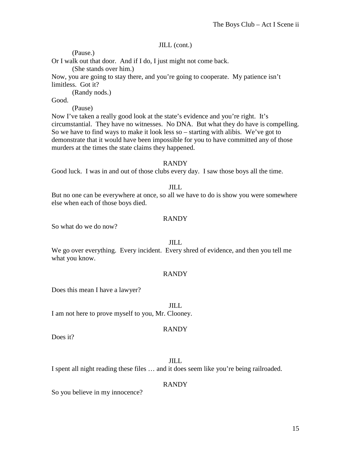# JILL (cont.)

(Pause.)

Or I walk out that door. And if I do, I just might not come back.

(She stands over him.)

Now, you are going to stay there, and you're going to cooperate. My patience isn't limitless. Got it?

(Randy nods.)

Good.

(Pause)

Now I've taken a really good look at the state's evidence and you're right. It's circumstantial. They have no witnesses. No DNA. But what they do have is compelling. So we have to find ways to make it look less so – starting with alibis. We've got to demonstrate that it would have been impossible for you to have committed any of those murders at the times the state claims they happened.

# RANDY

Good luck. I was in and out of those clubs every day. I saw those boys all the time.

#### JILL

But no one can be everywhere at once, so all we have to do is show you were somewhere else when each of those boys died.

# RANDY

So what do we do now?

#### JILL

We go over everything. Every incident. Every shred of evidence, and then you tell me what you know.

# RANDY

Does this mean I have a lawyer?

JILL

I am not here to prove myself to you, Mr. Clooney.

# RANDY

Does it?

JILL

I spent all night reading these files … and it does seem like you're being railroaded.

# RANDY

So you believe in my innocence?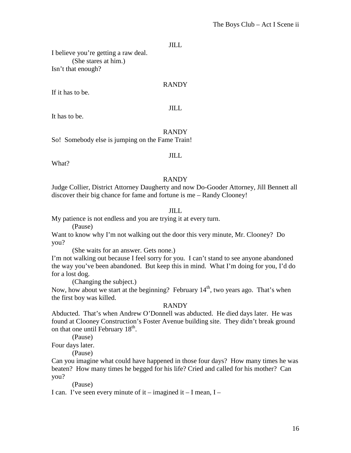I believe you're getting a raw deal. (She stares at him.) Isn't that enough?

#### RANDY

If it has to be.

# JILL

It has to be.

RANDY So! Somebody else is jumping on the Fame Train!

What?

# JILL

#### RANDY

Judge Collier, District Attorney Daugherty and now Do-Gooder Attorney, Jill Bennett all discover their big chance for fame and fortune is me – Randy Clooney!

# JILL

My patience is not endless and you are trying it at every turn.

(Pause)

Want to know why I'm not walking out the door this very minute, Mr. Clooney? Do you?

(She waits for an answer. Gets none.)

I'm not walking out because I feel sorry for you. I can't stand to see anyone abandoned the way you've been abandoned. But keep this in mind. What I'm doing for you, I'd do for a lost dog.

(Changing the subject.)

Now, how about we start at the beginning? February  $14<sup>th</sup>$ , two years ago. That's when the first boy was killed.

#### RANDY

Abducted. That's when Andrew O'Donnell was abducted. He died days later. He was found at Clooney Construction's Foster Avenue building site. They didn't break ground on that one until February  $18<sup>th</sup>$ .

(Pause)

Four days later.

(Pause)

Can you imagine what could have happened in those four days? How many times he was beaten? How many times he begged for his life? Cried and called for his mother? Can you?

(Pause)

I can. I've seen every minute of it – imagined it – I mean,  $I$  –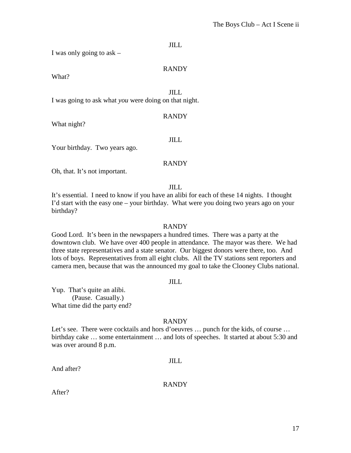I was only going to ask –

#### RANDY

What?

JILL

I was going to ask what *you* were doing on that night.

#### RANDY

What night?

#### JILL

Your birthday. Two years ago.

#### RANDY

Oh, that. It's not important.

JILL

It's essential. I need to know if you have an alibi for each of these 14 nights. I thought I'd start with the easy one – your birthday. What were you doing two years ago on your birthday?

#### RANDY

Good Lord. It's been in the newspapers a hundred times. There was a party at the downtown club. We have over 400 people in attendance. The mayor was there. We had three state representatives and a state senator. Our biggest donors were there, too. And lots of boys. Representatives from all eight clubs. All the TV stations sent reporters and camera men, because that was the announced my goal to take the Clooney Clubs national.

### JILL

Yup. That's quite an alibi. (Pause. Casually.) What time did the party end?

#### RANDY

Let's see. There were cocktails and hors d'oeuvres ... punch for the kids, of course ... birthday cake … some entertainment … and lots of speeches. It started at about 5:30 and was over around 8 p.m.

#### JILL

And after?

#### RANDY

After?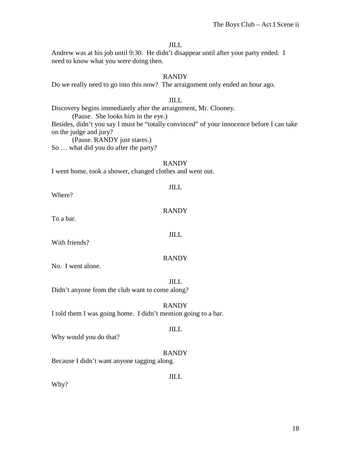Andrew was at his job until 9:30. He didn't disappear until after your party ended. I need to know what you were doing then.

# RANDY

Do we really need to go into this now? The arraignment only ended an hour ago.

### JILL

Discovery begins immediately after the arraignment, Mr. Clooney.

(Pause. She looks him in the eye.)

Besides, didn't you say I must be "totally convinced" of your innocence before I can take on the judge and jury?

(Pause. RANDY just stares.)

So … what did you do after the party?

#### RANDY

JILL

I went home, took a shower, changed clothes and went out.

Where?

RANDY

JILL

To a bar.

With friends?

# RANDY

No. I went alone.

JILL Didn't anyone from the club want to come along?

#### RANDY I told them I was going home. I didn't mention going to a bar.

# JILL

Why would you do that?

# RANDY

Because I didn't want anyone tagging along.

JILL

Why?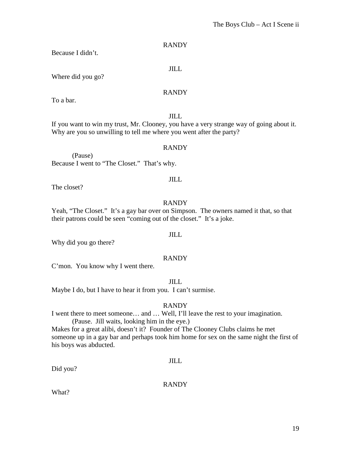Because I didn't.

JILL

Where did you go?

# RANDY

To a bar.

# JILL

If you want to win my trust, Mr. Clooney, you have a very strange way of going about it. Why are you so unwilling to tell me where you went after the party?

# RANDY

(Pause) Because I went to "The Closet." That's why.

# JILL

The closet?

# RANDY

Yeah, "The Closet." It's a gay bar over on Simpson. The owners named it that, so that their patrons could be seen "coming out of the closet." It's a joke.

# JILL

Why did you go there?

# RANDY

C'mon. You know why I went there.

JILL

Maybe I do, but I have to hear it from you. I can't surmise.

# RANDY

I went there to meet someone… and … Well, I'll leave the rest to your imagination. (Pause. Jill waits, looking him in the eye.)

Makes for a great alibi, doesn't it? Founder of The Clooney Clubs claims he met someone up in a gay bar and perhaps took him home for sex on the same night the first of his boys was abducted.

# JILL

Did you?

RANDY

What?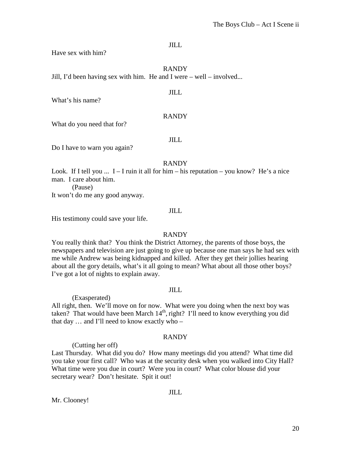Have sex with him?

RANDY

Jill, I'd been having sex with him. He and I were – well – involved...

JILL

What's his name?

#### RANDY

What do you need that for?

JILL

Do I have to warn you again?

#### RANDY

Look. If I tell you  $\ldots$  I – I ruin it all for him – his reputation – you know? He's a nice man. I care about him.

(Pause)

It won't do me any good anyway.

# JILL

His testimony could save your life.

# RANDY

You really think that? You think the District Attorney, the parents of those boys, the newspapers and television are just going to give up because one man says he had sex with me while Andrew was being kidnapped and killed. After they get their jollies hearing about all the gory details, what's it all going to mean? What about all those other boys? I've got a lot of nights to explain away.

#### JILL

(Exasperated) All right, then. We'll move on for now. What were you doing when the next boy was taken? That would have been March  $14<sup>th</sup>$ , right? I'll need to know everything you did that day … and I'll need to know exactly who –

# RANDY

(Cutting her off)

Last Thursday. What did you do? How many meetings did you attend? What time did you take your first call? Who was at the security desk when you walked into City Hall? What time were you due in court? Were you in court? What color blouse did your secretary wear? Don't hesitate. Spit it out!

# Mr. Clooney!

# JILL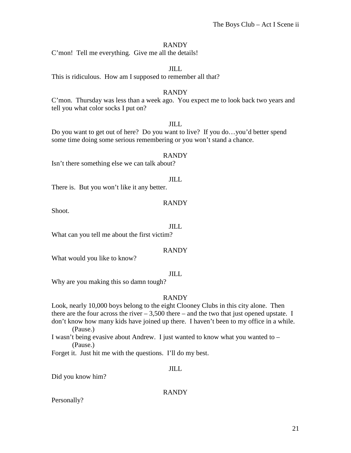C'mon! Tell me everything. Give me all the details!

# JILL

This is ridiculous. How am I supposed to remember all that?

# RANDY

C'mon. Thursday was less than a week ago. You expect me to look back two years and tell you what color socks I put on?

# JILL

Do you want to get out of here? Do you want to live? If you do…you'd better spend some time doing some serious remembering or you won't stand a chance.

#### RANDY

Isn't there something else we can talk about?

#### JILL

There is. But you won't like it any better.

# RANDY

Shoot.

#### JILL

What can you tell me about the first victim?

# RANDY

What would you like to know?

# JILL

Why are you making this so damn tough?

# RANDY

Look, nearly 10,000 boys belong to the eight Clooney Clubs in this city alone. Then there are the four across the river  $-3,500$  there  $-$  and the two that just opened upstate. I don't know how many kids have joined up there. I haven't been to my office in a while. (Pause.)

I wasn't being evasive about Andrew. I just wanted to know what you wanted to – (Pause.)

Forget it. Just hit me with the questions. I'll do my best.

# JILL

Did you know him?

RANDY

Personally?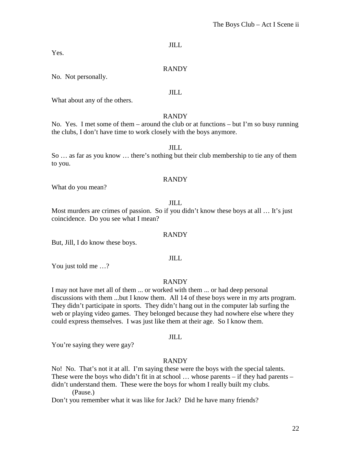Yes.

# RANDY

No. Not personally.

JILL

What about any of the others.

# RANDY

No. Yes. I met some of them – around the club or at functions – but I'm so busy running the clubs, I don't have time to work closely with the boys anymore.

# JILL

So … as far as you know … there's nothing but their club membership to tie any of them to you.

# RANDY

What do you mean?

# JILL

Most murders are crimes of passion. So if you didn't know these boys at all ... It's just coincidence. Do you see what I mean?

# RANDY

But, Jill, I do know these boys.

# JILL

You just told me …?

# RANDY

I may not have met all of them ... or worked with them ... or had deep personal discussions with them ...but I know them. All 14 of these boys were in my arts program. They didn't participate in sports. They didn't hang out in the computer lab surfing the web or playing video games. They belonged because they had nowhere else where they could express themselves. I was just like them at their age. So I know them.

#### JILL

You're saying they were gay?

# RANDY

No! No. That's not it at all. I'm saying these were the boys with the special talents. These were the boys who didn't fit in at school … whose parents – if they had parents – didn't understand them. These were the boys for whom I really built my clubs. (Pause.)

Don't you remember what it was like for Jack? Did he have many friends?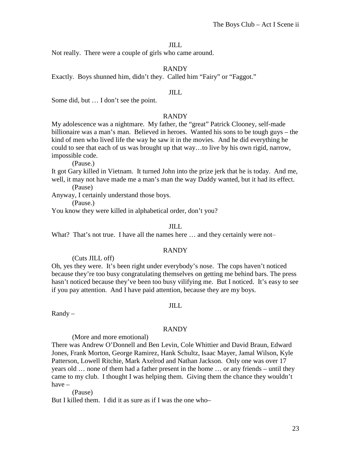Not really. There were a couple of girls who came around.

#### RANDY

Exactly. Boys shunned him, didn't they. Called him "Fairy" or "Faggot."

#### JILL

Some did, but … I don't see the point.

#### RANDY

My adolescence was a nightmare. My father, the "great" Patrick Clooney, self-made billionaire was a man's man. Believed in heroes. Wanted his sons to be tough guys – the kind of men who lived life the way he saw it in the movies. And he did everything he could to see that each of us was brought up that way…to live by his own rigid, narrow, impossible code.

(Pause.)

It got Gary killed in Vietnam. It turned John into the prize jerk that he is today. And me, well, it may not have made me a man's man the way Daddy wanted, but it had its effect. (Pause)

Anyway, I certainly understand those boys.

(Pause.)

You know they were killed in alphabetical order, don't you?

#### JILL

What? That's not true. I have all the names here ... and they certainly were not-

#### RANDY

(Cuts JILL off)

Oh, yes they were. It's been right under everybody's nose. The cops haven't noticed because they're too busy congratulating themselves on getting me behind bars. The press hasn't noticed because they've been too busy vilifying me. But I noticed. It's easy to see if you pay attention. And I have paid attention, because they are my boys.

Randy –

# JILL

#### RANDY

(More and more emotional)

There was Andrew O'Donnell and Ben Levin, Cole Whittier and David Braun, Edward Jones, Frank Morton, George Ramirez, Hank Schultz, Isaac Mayer, Jamal Wilson, Kyle Patterson, Lowell Ritchie, Mark Axelrod and Nathan Jackson. Only one was over 17 years old … none of them had a father present in the home … or any friends – until they came to my club. I thought I was helping them. Giving them the chance they wouldn't have –

(Pause) But I killed them. I did it as sure as if I was the one who–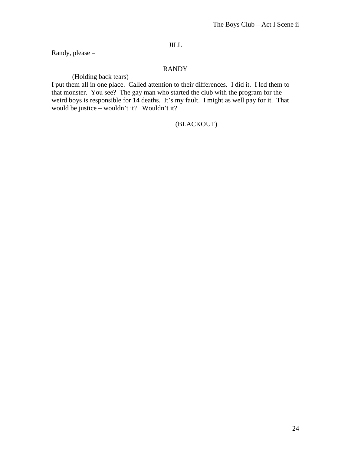Randy, please –

# RANDY

(Holding back tears)

I put them all in one place. Called attention to their differences. I did it. I led them to that monster. You see? The gay man who started the club with the program for the weird boys is responsible for 14 deaths. It's my fault. I might as well pay for it. That would be justice – wouldn't it? Wouldn't it?

# (BLACKOUT)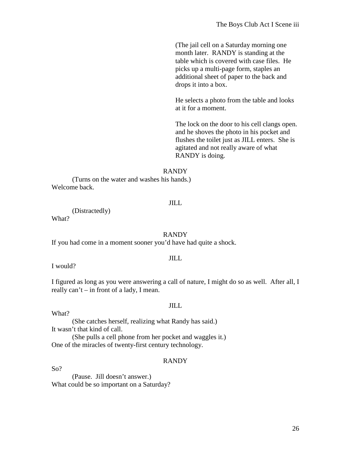(The jail cell on a Saturday morning one month later. RANDY is standing at the table which is covered with case files. He picks up a multi-page form, staples an additional sheet of paper to the back and drops it into a box.

He selects a photo from the table and looks at it for a moment.

The lock on the door to his cell clangs open. and he shoves the photo in his pocket and flushes the toilet just as JILL enters. She is agitated and not really aware of what RANDY is doing.

#### RANDY

(Turns on the water and washes his hands.) Welcome back.

#### JILL

(Distractedly)

What?

#### RANDY

If you had come in a moment sooner you'd have had quite a shock.

# JILL

I would?

I figured as long as you were answering a call of nature, I might do so as well. After all, I really can't – in front of a lady, I mean.

#### JILL

#### What?

(She catches herself, realizing what Randy has said.) It wasn't that kind of call.

(She pulls a cell phone from her pocket and waggles it.) One of the miracles of twenty-first century technology.

#### RANDY

So?

(Pause. Jill doesn't answer.) What could be so important on a Saturday?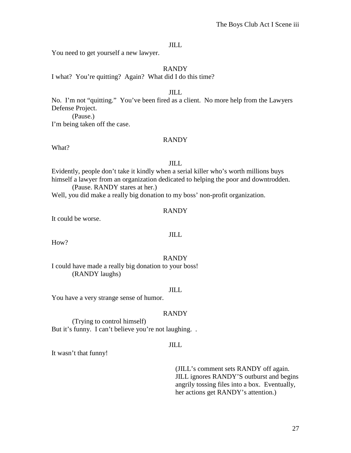You need to get yourself a new lawyer.

### RANDY

I what? You're quitting? Again? What did I do this time?

#### JILL

No. I'm not "quitting." You've been fired as a client. No more help from the Lawyers Defense Project.

(Pause.) I'm being taken off the case.

#### RANDY

What?

# JILL

Evidently, people don't take it kindly when a serial killer who's worth millions buys himself a lawyer from an organization dedicated to helping the poor and downtrodden.

(Pause. RANDY stares at her.)

Well, you did make a really big donation to my boss' non-profit organization.

# RANDY

It could be worse.

# JILL

How?

# RANDY

I could have made a really big donation to your boss! (RANDY laughs)

#### JILL

You have a very strange sense of humor.

# RANDY

(Trying to control himself) But it's funny. I can't believe you're not laughing...

# JILL

It wasn't that funny!

(JILL's comment sets RANDY off again. JILL ignores RANDY'S outburst and begins angrily tossing files into a box. Eventually, her actions get RANDY's attention.)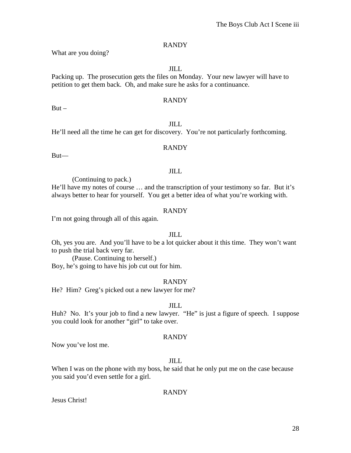What are you doing?

JILL

Packing up. The prosecution gets the files on Monday. Your new lawyer will have to petition to get them back. Oh, and make sure he asks for a continuance.

# RANDY

 $But -$ 

# JILL He'll need all the time he can get for discovery. You're not particularly forthcoming.

# RANDY

But—

# JILL

(Continuing to pack.)

He'll have my notes of course … and the transcription of your testimony so far. But it's always better to hear for yourself. You get a better idea of what you're working with.

# RANDY

I'm not going through all of this again.

# JILL

Oh, yes you are. And you'll have to be a lot quicker about it this time. They won't want to push the trial back very far.

(Pause. Continuing to herself.) Boy, he's going to have his job cut out for him.

# RANDY

He? Him? Greg's picked out a new lawyer for me?

# JILL

Huh? No. It's your job to find a new lawyer. "He" is just a figure of speech. I suppose you could look for another "girl" to take over.

# RANDY

Now you've lost me.

# JILL

When I was on the phone with my boss, he said that he only put me on the case because you said you'd even settle for a girl.

# RANDY

Jesus Christ!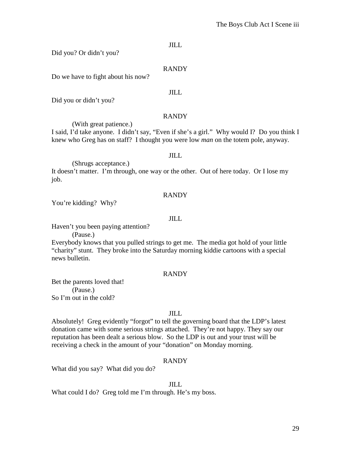Did you? Or didn't you?

# RANDY

Do we have to fight about his now?

#### JILL

Did you or didn't you?

# RANDY

(With great patience.)

I said, I'd take anyone. I didn't say, "Even if she's a girl." Why would I? Do you think I knew who Greg has on staff? I thought you were low *man* on the totem pole, anyway.

#### JILL

(Shrugs acceptance.)

It doesn't matter. I'm through, one way or the other. Out of here today. Or I lose my job.

# RANDY

You're kidding? Why?

# JILL

Haven't you been paying attention?

(Pause.)

Everybody knows that you pulled strings to get me. The media got hold of your little "charity" stunt. They broke into the Saturday morning kiddie cartoons with a special news bulletin.

# RANDY

Bet the parents loved that! (Pause.) So I'm out in the cold?

# JILL

Absolutely! Greg evidently "forgot" to tell the governing board that the LDP's latest donation came with some serious strings attached. They're not happy. They say our reputation has been dealt a serious blow. So the LDP is out and your trust will be receiving a check in the amount of your "donation" on Monday morning.

# RANDY

What did you say? What did you do?

#### JILL

What could I do? Greg told me I'm through. He's my boss.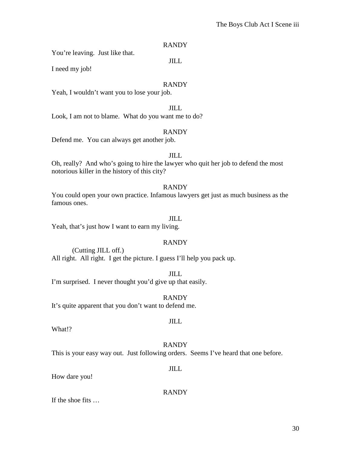30

# RANDY

JILL

You're leaving. Just like that.

I need my job!

# RANDY

Yeah, I wouldn't want you to lose your job.

JILL Look, I am not to blame. What do you want me to do?

# RANDY

Defend me. You can always get another job.

#### JILL

Oh, really? And who's going to hire the lawyer who quit her job to defend the most notorious killer in the history of this city?

# RANDY

You could open your own practice. Infamous lawyers get just as much business as the famous ones.

# JILL

Yeah, that's just how I want to earn my living.

# RANDY

(Cutting JILL off.) All right. All right. I get the picture. I guess I'll help you pack up.

JILL I'm surprised. I never thought you'd give up that easily.

RANDY

It's quite apparent that you don't want to defend me.

What!?

# RANDY

This is your easy way out. Just following orders. Seems I've heard that one before.

How dare you!

RANDY

JILL

If the shoe fits …

# JILL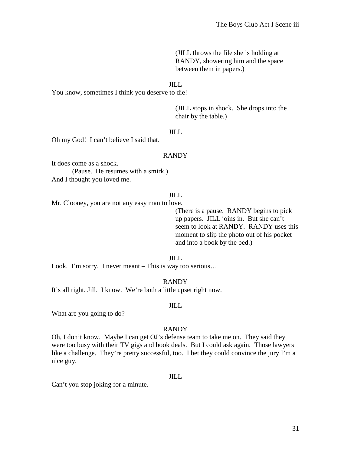(JILL throws the file she is holding at RANDY, showering him and the space between them in papers.)

#### JILL

You know, sometimes I think you deserve to die!

(JILL stops in shock. She drops into the chair by the table.)

# JILL

Oh my God! I can't believe I said that.

#### RANDY

It does come as a shock. (Pause. He resumes with a smirk.) And I thought you loved me.

#### JILL

Mr. Clooney, you are not any easy man to love.

(There is a pause. RANDY begins to pick up papers. JILL joins in. But she can't seem to look at RANDY. RANDY uses this moment to slip the photo out of his pocket and into a book by the bed.)

JILL

Look. I'm sorry. I never meant – This is way too serious...

RANDY

It's all right, Jill. I know. We're both a little upset right now.

#### JILL

What are you going to do?

#### RANDY

Oh, I don't know. Maybe I can get OJ's defense team to take me on. They said they were too busy with their TV gigs and book deals. But I could ask again. Those lawyers like a challenge. They're pretty successful, too. I bet they could convince the jury I'm a nice guy.

#### JILL

Can't you stop joking for a minute.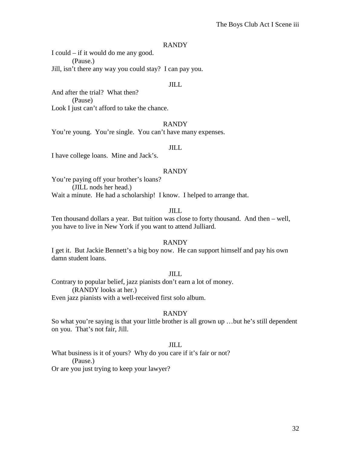I could – if it would do me any good. (Pause.) Jill, isn't there any way you could stay? I can pay you.

#### JILL

And after the trial? What then? (Pause) Look I just can't afford to take the chance.

#### RANDY

You're young. You're single. You can't have many expenses.

# JILL

I have college loans. Mine and Jack's.

#### RANDY

You're paying off your brother's loans? (JILL nods her head.) Wait a minute. He had a scholarship! I know. I helped to arrange that.

### JILL

Ten thousand dollars a year. But tuition was close to forty thousand. And then – well, you have to live in New York if you want to attend Julliard.

#### RANDY

I get it. But Jackie Bennett's a big boy now. He can support himself and pay his own damn student loans.

#### JILL

Contrary to popular belief, jazz pianists don't earn a lot of money. (RANDY looks at her.)

Even jazz pianists with a well-received first solo album.

#### RANDY

So what you're saying is that your little brother is all grown up …but he's still dependent on you. That's not fair, Jill.

#### JILL

What business is it of yours? Why do you care if it's fair or not? (Pause.)

Or are you just trying to keep your lawyer?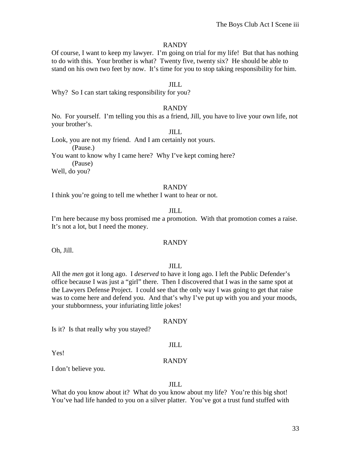Of course, I want to keep my lawyer. I'm going on trial for my life! But that has nothing to do with this. Your brother is what? Twenty five, twenty six? He should be able to stand on his own two feet by now. It's time for you to stop taking responsibility for him.

#### JILL

Why? So I can start taking responsibility for you?

#### RANDY

No. For yourself. I'm telling you this as a friend, Jill, you have to live your own life, not your brother's.

# JILL

Look, you are not my friend. And I am certainly not yours.

(Pause.)

You want to know why I came here? Why I've kept coming here?

(Pause)

Well, do you?

#### RANDY

I think you're going to tell me whether I want to hear or not.

# JILL

I'm here because my boss promised me a promotion. With that promotion comes a raise. It's not a lot, but I need the money.

# RANDY

Oh, Jill.

#### JILL

All the *men* got it long ago. I *deserved* to have it long ago. I left the Public Defender's office because I was just a "girl" there. Then I discovered that I was in the same spot at the Lawyers Defense Project. I could see that the only way I was going to get that raise was to come here and defend you. And that's why I've put up with you and your moods, your stubbornness, your infuriating little jokes!

#### RANDY

Is it? Is that really why you stayed?

Yes!

# RANDY

JILL

I don't believe you.

#### JILL

What do you know about it? What do you know about my life? You're this big shot! You've had life handed to you on a silver platter. You've got a trust fund stuffed with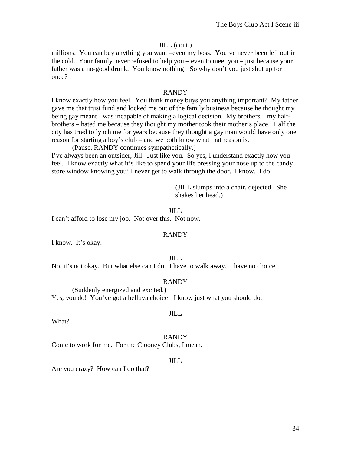#### JILL (cont.)

millions. You can buy anything you want –even my boss. You've never been left out in the cold. Your family never refused to help you – even to meet you – just because your father was a no-good drunk. You know nothing! So why don't you just shut up for once?

#### RANDY

I know exactly how you feel. You think money buys you anything important? My father gave me that trust fund and locked me out of the family business because he thought my being gay meant I was incapable of making a logical decision. My brothers – my halfbrothers – hated me because they thought my mother took their mother's place. Half the city has tried to lynch me for years because they thought a gay man would have only one reason for starting a boy's club – and we both know what that reason is.

(Pause. RANDY continues sympathetically.)

I've always been an outsider, Jill. Just like you. So yes, I understand exactly how you feel. I know exactly what it's like to spend your life pressing your nose up to the candy store window knowing you'll never get to walk through the door. I know. I do.

> (JILL slumps into a chair, dejected. She shakes her head.)

JILL

I can't afford to lose my job. Not over this. Not now.

#### RANDY

I know. It's okay.

# JILL

No, it's not okay. But what else can I do. I have to walk away. I have no choice.

#### RANDY

(Suddenly energized and excited.) Yes, you do! You've got a helluva choice! I know just what you should do.

What?

#### RANDY

JILL

Come to work for me. For the Clooney Clubs, I mean.

#### JILL

Are you crazy? How can I do that?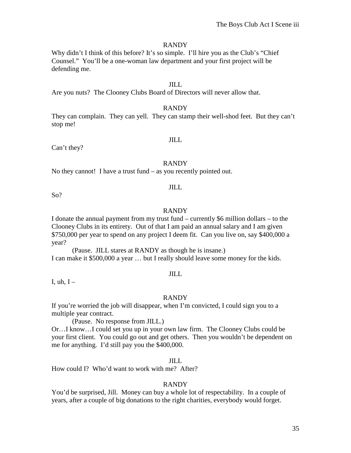Why didn't I think of this before? It's so simple. I'll hire you as the Club's "Chief" Counsel." You'll be a one-woman law department and your first project will be defending me.

#### JILL

Are you nuts? The Clooney Clubs Board of Directors will never allow that.

#### RANDY

They can complain. They can yell. They can stamp their well-shod feet. But they can't stop me!

#### JILL

Can't they?

#### RANDY

No they cannot! I have a trust fund – as you recently pointed out.

#### JILL

So?

#### RANDY

I donate the annual payment from my trust fund – currently \$6 million dollars – to the Clooney Clubs in its entirety. Out of that I am paid an annual salary and I am given \$750,000 per year to spend on any project I deem fit. Can you live on, say \$400,000 a year?

(Pause. JILL stares at RANDY as though he is insane.) I can make it \$500,000 a year … but I really should leave some money for the kids.

#### JILL

I, uh,  $I -$ 

#### RANDY

If you're worried the job will disappear, when I'm convicted, I could sign you to a multiple year contract.

(Pause. No response from JILL.)

Or…I know…I could set you up in your own law firm. The Clooney Clubs could be your first client. You could go out and get others. Then you wouldn't be dependent on me for anything. I'd still pay you the \$400,000.

#### JILL

How could I? Who'd want to work with me? After?

#### RANDY

You'd be surprised, Jill. Money can buy a whole lot of respectability. In a couple of years, after a couple of big donations to the right charities, everybody would forget.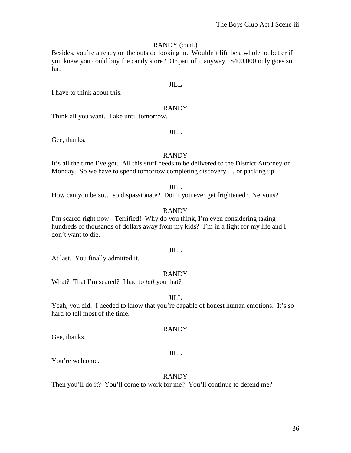# RANDY (cont.)

Besides, you're already on the outside looking in. Wouldn't life be a whole lot better if you knew you could buy the candy store? Or part of it anyway. \$400,000 only goes so far.

# JILL

I have to think about this.

# RANDY

Think all you want. Take until tomorrow.

# JILL

Gee, thanks.

# RANDY

It's all the time I've got. All this stuff needs to be delivered to the District Attorney on Monday. So we have to spend tomorrow completing discovery … or packing up.

#### JILL

How can you be so… so dispassionate? Don't you ever get frightened? Nervous?

# RANDY

I'm scared right now! Terrified! Why do you think, I'm even considering taking hundreds of thousands of dollars away from my kids? I'm in a fight for my life and I don't want to die.

# JILL

At last. You finally admitted it.

# RANDY

What? That I'm scared? I had to *tell* you that?

# JILL

Yeah, you did. I needed to know that you're capable of honest human emotions. It's so hard to tell most of the time.

# RANDY

Gee, thanks.

# JILL

You're welcome.

#### RANDY

Then you'll do it? You'll come to work for me? You'll continue to defend me?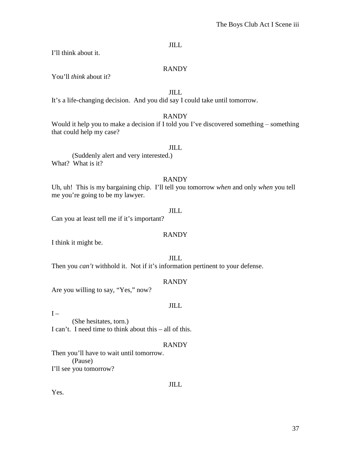I'll think about it.

# RANDY

You'll *think* about it?

JILL

It's a life-changing decision. And you did say I could take until tomorrow.

# RANDY

Would it help you to make a decision if I told you I've discovered something  $-$  something that could help my case?

# JILL

(Suddenly alert and very interested.) What? What is it?

# RANDY

Uh, uh! This is my bargaining chip. I'll tell you tomorrow *when* and only *when* you tell me you're going to be my lawyer.

# JILL

Can you at least tell me if it's important?

# RANDY

I think it might be.

# JILL

Then you *can't* withhold it. Not if it's information pertinent to your defense.

# RANDY

Are you willing to say, "Yes," now?

# JILL

 $I -$ 

(She hesitates, torn.) I can't. I need time to think about this – all of this.

# RANDY

Then you'll have to wait until tomorrow. (Pause) I'll see you tomorrow?

# JILL

Yes.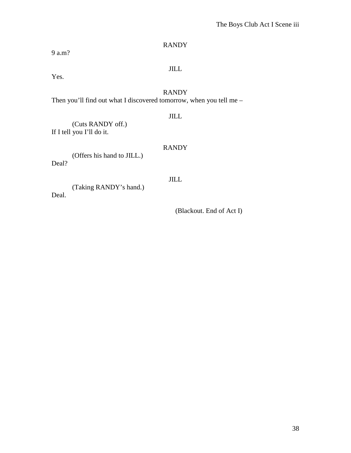9 a.m?

# RANDY

JILL

Yes.

# RANDY

Then you'll find out what I discovered tomorrow, when you tell me –

# JILL

(Cuts RANDY off.) If I tell you I'll do it.

# RANDY

(Offers his hand to JILL.) Deal?

# JILL

(Taking RANDY's hand.)

Deal.

(Blackout. End of Act I)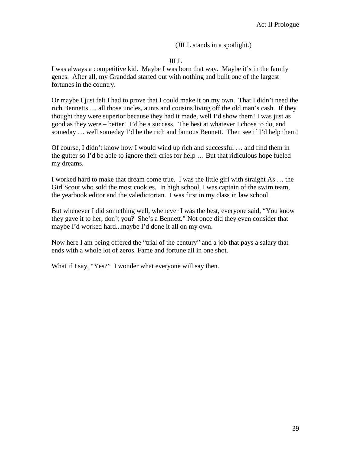(JILL stands in a spotlight.)

# JILL

I was always a competitive kid. Maybe I was born that way. Maybe it's in the family genes. After all, my Granddad started out with nothing and built one of the largest fortunes in the country.

Or maybe I just felt I had to prove that I could make it on my own. That I didn't need the rich Bennetts … all those uncles, aunts and cousins living off the old man's cash. If they thought they were superior because they had it made, well I'd show them! I was just as good as they were – better! I'd be a success. The best at whatever I chose to do, and someday ... well someday I'd be the rich and famous Bennett. Then see if I'd help them!

Of course, I didn't know how I would wind up rich and successful … and find them in the gutter so I'd be able to ignore their cries for help … But that ridiculous hope fueled my dreams.

I worked hard to make that dream come true. I was the little girl with straight As … the Girl Scout who sold the most cookies. In high school, I was captain of the swim team, the yearbook editor and the valedictorian. I was first in my class in law school.

But whenever I did something well, whenever I was the best, everyone said, "You know they gave it to her, don't you? She's a Bennett." Not once did they even consider that maybe I'd worked hard...maybe I'd done it all on my own.

Now here I am being offered the "trial of the century" and a job that pays a salary that ends with a whole lot of zeros. Fame and fortune all in one shot.

What if I say, "Yes?" I wonder what everyone will say then.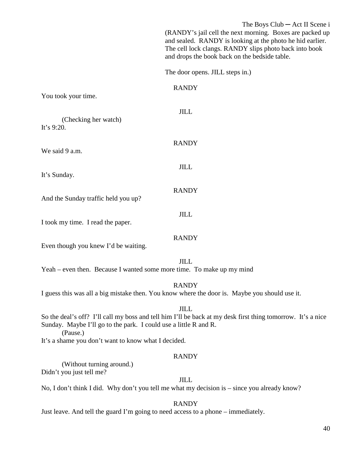|                                                                                                                                                                                                            | The Boys $Club - Act II$ Scene i                                                                                                                                                |
|------------------------------------------------------------------------------------------------------------------------------------------------------------------------------------------------------------|---------------------------------------------------------------------------------------------------------------------------------------------------------------------------------|
|                                                                                                                                                                                                            | (RANDY's jail cell the next morning. Boxes are packed up<br>and sealed. RANDY is looking at the photo he hid earlier.<br>The cell lock clangs. RANDY slips photo back into book |
|                                                                                                                                                                                                            | and drops the book back on the bedside table.                                                                                                                                   |
|                                                                                                                                                                                                            | The door opens. JILL steps in.)                                                                                                                                                 |
|                                                                                                                                                                                                            | <b>RANDY</b>                                                                                                                                                                    |
| You took your time.                                                                                                                                                                                        |                                                                                                                                                                                 |
| (Checking her watch)<br>It's 9:20.                                                                                                                                                                         | <b>JILL</b>                                                                                                                                                                     |
| We said 9 a.m.                                                                                                                                                                                             | <b>RANDY</b>                                                                                                                                                                    |
|                                                                                                                                                                                                            | <b>JILL</b>                                                                                                                                                                     |
| It's Sunday.                                                                                                                                                                                               |                                                                                                                                                                                 |
| And the Sunday traffic held you up?                                                                                                                                                                        | <b>RANDY</b>                                                                                                                                                                    |
| I took my time. I read the paper.                                                                                                                                                                          | <b>JILL</b>                                                                                                                                                                     |
|                                                                                                                                                                                                            | <b>RANDY</b>                                                                                                                                                                    |
| Even though you knew I'd be waiting.                                                                                                                                                                       |                                                                                                                                                                                 |
| Yeah – even then. Because I wanted some more time. To make up my mind                                                                                                                                      | <b>JILL</b>                                                                                                                                                                     |
|                                                                                                                                                                                                            | <b>RANDY</b>                                                                                                                                                                    |
|                                                                                                                                                                                                            | I guess this was all a big mistake then. You know where the door is. Maybe you should use it.                                                                                   |
| <b>JILL</b><br>So the deal's off? I'll call my boss and tell him I'll be back at my desk first thing tomorrow. It's a nice<br>Sunday. Maybe I'll go to the park. I could use a little R and R.<br>(Pause.) |                                                                                                                                                                                 |
| It's a shame you don't want to know what I decided.                                                                                                                                                        |                                                                                                                                                                                 |
|                                                                                                                                                                                                            | <b>RANDY</b>                                                                                                                                                                    |
| (Without turning around.)<br>Didn't you just tell me?                                                                                                                                                      |                                                                                                                                                                                 |
|                                                                                                                                                                                                            | <b>JILL</b>                                                                                                                                                                     |
| No, I don't think I did. Why don't you tell me what my decision is – since you already know?                                                                                                               |                                                                                                                                                                                 |
|                                                                                                                                                                                                            | <b>RANDY</b>                                                                                                                                                                    |

Just leave. And tell the guard I'm going to need access to a phone – immediately.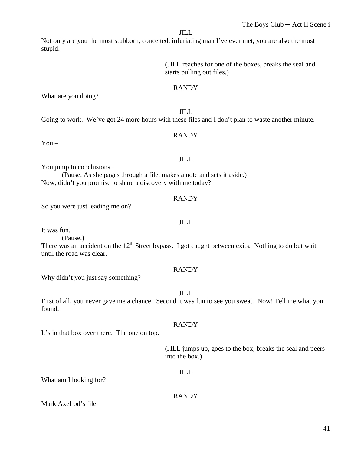RANDY

JILL Going to work. We've got 24 more hours with these files and I don't plan to waste another minute.

You jump to conclusions.

What are you doing?

(Pause. As she pages through a file, makes a note and sets it aside.) Now, didn't you promise to share a discovery with me today?

# RANDY

So you were just leading me on?

#### JILL

It was fun.

stupid.

 $You -$ 

(Pause.)

There was an accident on the  $12<sup>th</sup>$  Street bypass. I got caught between exits. Nothing to do but wait until the road was clear.

# RANDY

Why didn't you just say something?

JILL

First of all, you never gave me a chance. Second it was fun to see you sweat. Now! Tell me what you found.

# RANDY

It's in that box over there. The one on top.

(JILL jumps up, goes to the box, breaks the seal and peers into the box.)

# JILL

RANDY

What am I looking for?

Mark Axelrod's file.

# The Boys Club ─ Act II Scene i

(JILL reaches for one of the boxes, breaks the seal and

# JILL

starts pulling out files.)

Not only are you the most stubborn, conceited, infuriating man I've ever met, you are also the most

# JILL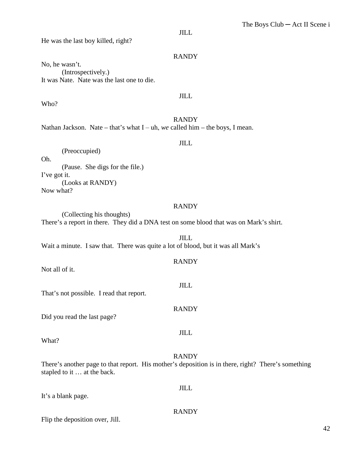He was the last boy killed, right?

# RANDY

No, he wasn't. (Introspectively.) It was Nate. Nate was the last one to die.

# JILL

RANDY Nathan Jackson. Nate – that's what I – uh, we called him – the boys, I mean.

JILL

(Preoccupied) Oh. (Pause. She digs for the file.) I've got it. (Looks at RANDY) Now what?

#### RANDY

(Collecting his thoughts) There's a report in there. They did a DNA test on some blood that was on Mark's shirt.

JILL Wait a minute. I saw that. There was quite a lot of blood, but it was all Mark's

#### RANDY

JILL

RANDY

JILL

Not all of it.

Who?

That's not possible. I read that report.

Did you read the last page?

What?

#### RANDY

JILL

RANDY

There's another page to that report. His mother's deposition is in there, right? There's something stapled to it … at the back.

It's a blank page.

Flip the deposition over, Jill.

# 42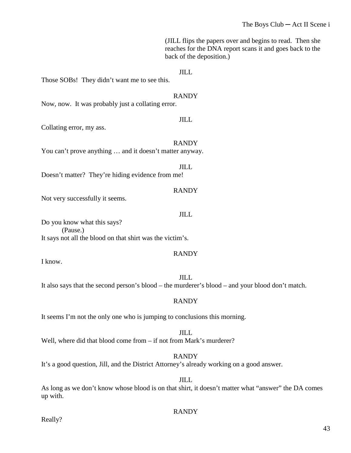(JILL flips the papers over and begins to read. Then she reaches for the DNA report scans it and goes back to the back of the deposition.)

JILL

JILL

Those SOBs! They didn't want me to see this.

RANDY Now, now. It was probably just a collating error.

Collating error, my ass.

RANDY You can't prove anything ... and it doesn't matter anyway.

Doesn't matter? They're hiding evidence from me!

Not very successfully it seems.

JILL

RANDY

JILL

Do you know what this says? (Pause.) It says not all the blood on that shirt was the victim's.

# RANDY

I know.

JILL It also says that the second person's blood – the murderer's blood – and your blood don't match.

# RANDY

It seems I'm not the only one who is jumping to conclusions this morning.

JILL Well, where did that blood come from – if not from Mark's murderer?

RANDY It's a good question, Jill, and the District Attorney's already working on a good answer.

As long as we don't know whose blood is on that shirt, it doesn't matter what "answer" the DA comes up with.

JILL

# RANDY

Really?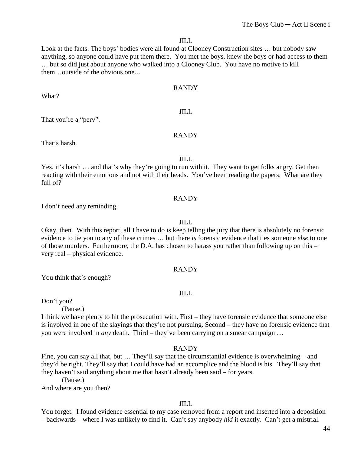Look at the facts. The boys' bodies were all found at Clooney Construction sites … but nobody saw anything, so anyone could have put them there. You met the boys, knew the boys or had access to them … but so did just about anyone who walked into a Clooney Club. You have no motive to kill them…outside of the obvious one...

#### RANDY

What?

That you're a "perv".

#### RANDY

JILL

That's harsh.

#### JILL

Yes, it's harsh … and that's why they're going to run with it. They want to get folks angry. Get then reacting with their emotions and not with their heads. You've been reading the papers. What are they full of?

# RANDY

I don't need any reminding.

# JILL

Okay, then. With this report, all I have to do is keep telling the jury that there is absolutely no forensic evidence to tie you to any of these crimes … but there *is* forensic evidence that ties someone *else* to one of those murders. Furthermore, the D.A. has chosen to harass you rather than following up on this – very real – physical evidence.

#### RANDY

You think that's enough?

# JILL

Don't you?

(Pause.)

I think we have plenty to hit the prosecution with. First – they have forensic evidence that someone else is involved in one of the slayings that they're not pursuing. Second – they have no forensic evidence that you were involved in *any* death. Third – they've been carrying on a smear campaign …

# RANDY

Fine, you can say all that, but ... They'll say that the circumstantial evidence is overwhelming – and they'd be right. They'll say that I could have had an accomplice and the blood is his. They'll say that they haven't said anything about me that hasn't already been said – for years.

(Pause.)

And where are you then?

# JILL

You forget. I found evidence essential to my case removed from a report and inserted into a deposition – backwards – where I was unlikely to find it. Can't say anybody *hid* it exactly. Can't get a mistrial.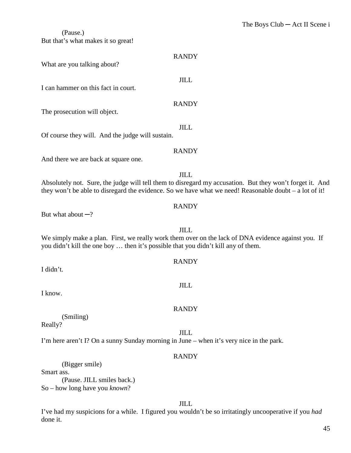# (Pause.) But that's what makes it so great!

| <b>RANDY</b>                                                                                                                                                                                                         |  |
|----------------------------------------------------------------------------------------------------------------------------------------------------------------------------------------------------------------------|--|
| What are you talking about?                                                                                                                                                                                          |  |
| <b>JILL</b><br>I can hammer on this fact in court.                                                                                                                                                                   |  |
|                                                                                                                                                                                                                      |  |
| <b>RANDY</b><br>The prosecution will object.                                                                                                                                                                         |  |
|                                                                                                                                                                                                                      |  |
| <b>JILL</b><br>Of course they will. And the judge will sustain.                                                                                                                                                      |  |
| <b>RANDY</b>                                                                                                                                                                                                         |  |
| And there we are back at square one.                                                                                                                                                                                 |  |
| <b>JILL</b>                                                                                                                                                                                                          |  |
| Absolutely not. Sure, the judge will tell them to disregard my accusation. But they won't forget it. And<br>they won't be able to disregard the evidence. So we have what we need! Reasonable doubt $-$ a lot of it! |  |
| <b>RANDY</b>                                                                                                                                                                                                         |  |
| But what about $-$ ?                                                                                                                                                                                                 |  |

JILL We simply make a plan. First, we really work them over on the lack of DNA evidence against you. If you didn't kill the one boy … then it's possible that you didn't kill any of them.

# RANDY

# JILL

# RANDY

(Smiling)

Really?

I didn't.

I know.

JILL I'm here aren't I? On a sunny Sunday morning in June – when it's very nice in the park.

# RANDY

(Bigger smile)

Smart ass.

(Pause. JILL smiles back.) So – how long have you *known*?

# JILL

I've had my suspicions for a while. I figured you wouldn't be so irritatingly uncooperative if you *had* done it.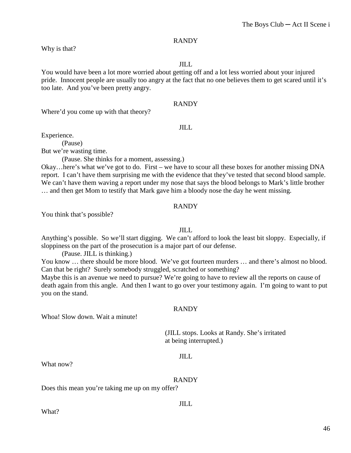Why is that?

#### JILL

You would have been a lot more worried about getting off and a lot less worried about your injured pride. Innocent people are usually too angry at the fact that no one believes them to get scared until it's too late. And you've been pretty angry.

# RANDY

Where'd you come up with that theory?

#### JILL

Experience.

(Pause)

But we're wasting time.

(Pause. She thinks for a moment, assessing.)

Okay…here's what we've got to do. First – we have to scour all these boxes for another missing DNA report. I can't have them surprising me with the evidence that they've tested that second blood sample. We can't have them waving a report under my nose that says the blood belongs to Mark's little brother … and then get Mom to testify that Mark gave him a bloody nose the day he went missing.

#### RANDY

You think that's possible?

#### JILL

Anything's possible. So we'll start digging. We can't afford to look the least bit sloppy. Especially, if sloppiness on the part of the prosecution is a major part of our defense.

(Pause. JILL is thinking.)

You know ... there should be more blood. We've got fourteen murders ... and there's almost no blood. Can that be right? Surely somebody struggled, scratched or something?

Maybe this is an avenue we need to pursue? We're going to have to review all the reports on cause of death again from this angle. And then I want to go over your testimony again. I'm going to want to put you on the stand.

# RANDY

Whoa! Slow down. Wait a minute!

(JILL stops. Looks at Randy. She's irritated at being interrupted.)

#### JILL

What now?

RANDY

Does this mean you're taking me up on my offer?

JILL

What?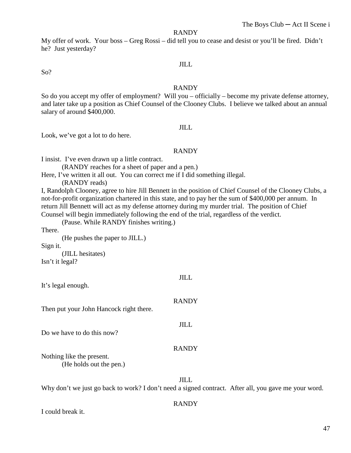My offer of work. Your boss – Greg Rossi – did tell you to cease and desist or you'll be fired. Didn't he? Just yesterday?

# JILL

So?

#### RANDY

So do you accept my offer of employment? Will you – officially – become my private defense attorney, and later take up a position as Chief Counsel of the Clooney Clubs. I believe we talked about an annual salary of around \$400,000.

#### JILL

Look, we've got a lot to do here.

#### RANDY

I insist. I've even drawn up a little contract.

(RANDY reaches for a sheet of paper and a pen.)

Here, I've written it all out. You can correct me if I did something illegal.

(RANDY reads)

I, Randolph Clooney, agree to hire Jill Bennett in the position of Chief Counsel of the Clooney Clubs, a not-for-profit organization chartered in this state, and to pay her the sum of \$400,000 per annum. In return Jill Bennett will act as my defense attorney during my murder trial. The position of Chief Counsel will begin immediately following the end of the trial, regardless of the verdict.

JILL

RANDY

JILL

RANDY

(Pause. While RANDY finishes writing.)

There.

(He pushes the paper to JILL.)

Sign it.

(JILL hesitates) Isn't it legal?

It's legal enough.

Then put your John Hancock right there.

Do we have to do this now?

Nothing like the present. (He holds out the pen.)

JILL Why don't we just go back to work? I don't need a signed contract. After all, you gave me your word.

#### RANDY

I could break it.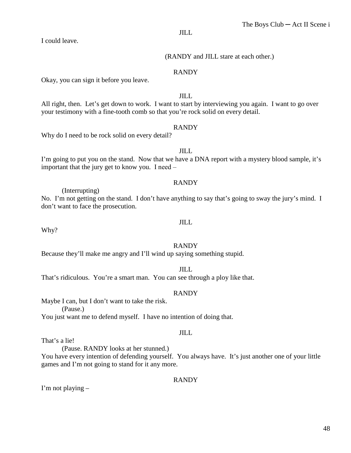I could leave.

# (RANDY and JILL stare at each other.)

# RANDY

Okay, you can sign it before you leave.

# JILL

All right, then. Let's get down to work. I want to start by interviewing you again. I want to go over your testimony with a fine-tooth comb so that you're rock solid on every detail.

#### RANDY

Why do I need to be rock solid on every detail?

JILL I'm going to put you on the stand. Now that we have a DNA report with a mystery blood sample, it's important that the jury get to know you. I need  $-$ 

# RANDY

(Interrupting)

No. I'm not getting on the stand. I don't have anything to say that's going to sway the jury's mind. I don't want to face the prosecution.

#### JILL

Why?

# RANDY

Because they'll make me angry and I'll wind up saying something stupid.

#### JILL

That's ridiculous. You're a smart man. You can see through a ploy like that.

# RANDY

Maybe I can, but I don't want to take the risk.

(Pause.)

You just want me to defend myself. I have no intention of doing that.

#### JILL

That's a lie!

(Pause. RANDY looks at her stunned.)

You have every intention of defending yourself. You always have. It's just another one of your little games and I'm not going to stand for it any more.

# RANDY

I'm not playing –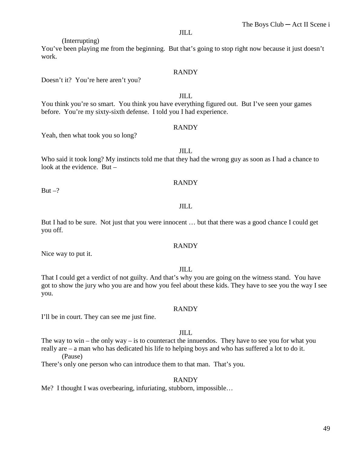You've been playing me from the beginning. But that's going to stop right now because it just doesn't work.

#### RANDY

JILL

Doesn't it? You're here aren't you?

(Interrupting)

You think you're so smart. You think you have everything figured out. But I've seen your games before. You're my sixty-sixth defense. I told you I had experience.

# RANDY

Yeah, then what took you so long?

JILL

Who said it took long? My instincts told me that they had the wrong guy as soon as I had a chance to look at the evidence. But –

# RANDY

But  $-?$ 

#### JILL

But I had to be sure. Not just that you were innocent … but that there was a good chance I could get you off.

# RANDY

Nice way to put it.

#### JILL

That I could get a verdict of not guilty. And that's why you are going on the witness stand. You have got to show the jury who you are and how you feel about these kids. They have to see you the way I see you.

#### RANDY

I'll be in court. They can see me just fine.

#### JILL

The way to win – the only way – is to counteract the innuendos. They have to see you for what you really are – a man who has dedicated his life to helping boys and who has suffered a lot to do it. (Pause)

There's only one person who can introduce them to that man. That's you.

#### RANDY

Me? I thought I was overbearing, infuriating, stubborn, impossible…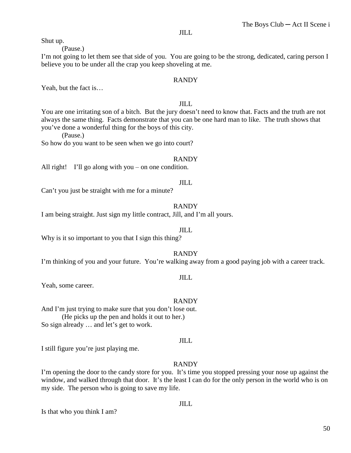Shut up.

(Pause.)

I'm not going to let them see that side of you. You are going to be the strong, dedicated, caring person I believe you to be under all the crap you keep shoveling at me.

#### RANDY

Yeah, but the fact is…

# JILL

You are one irritating son of a bitch. But the jury doesn't need to know that. Facts and the truth are not always the same thing. Facts demonstrate that you can be one hard man to like. The truth shows that you've done a wonderful thing for the boys of this city.

(Pause.)

So how do you want to be seen when we go into court?

#### RANDY

All right! I'll go along with you  $-$  on one condition.

#### JILL

Can't you just be straight with me for a minute?

#### RANDY

I am being straight. Just sign my little contract, Jill, and I'm all yours.

# JILL

Why is it so important to you that I sign this thing?

#### RANDY

I'm thinking of you and your future. You're walking away from a good paying job with a career track.

#### JILL

Yeah, some career.

#### RANDY

And I'm just trying to make sure that you don't lose out. (He picks up the pen and holds it out to her.) So sign already … and let's get to work.

#### JILL

I still figure you're just playing me.

#### RANDY

I'm opening the door to the candy store for you. It's time you stopped pressing your nose up against the window, and walked through that door. It's the least I can do for the only person in the world who is on my side. The person who is going to save my life.

#### JILL

Is that who you think I am?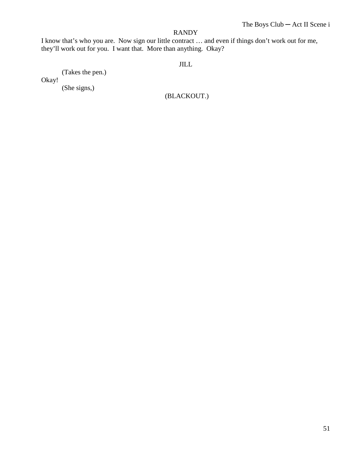I know that's who you are. Now sign our little contract … and even if things don't work out for me, they'll work out for you. I want that. More than anything. Okay?

# JILL

(Takes the pen.)

Okay!

(She signs,)

(BLACKOUT.)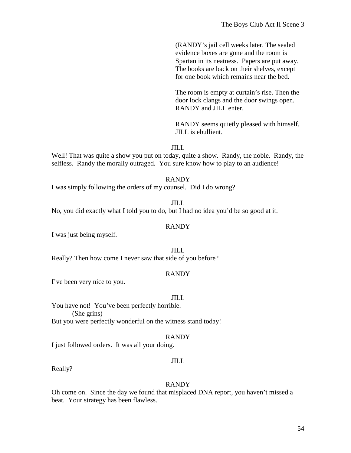(RANDY's jail cell weeks later. The sealed evidence boxes are gone and the room is Spartan in its neatness. Papers are put away. The books are back on their shelves, except for one book which remains near the bed.

The room is empty at curtain's rise. Then the door lock clangs and the door swings open. RANDY and JILL enter.

RANDY seems quietly pleased with himself. JILL is ebullient.

JILL

Well! That was quite a show you put on today, quite a show. Randy, the noble. Randy, the selfless. Randy the morally outraged. You sure know how to play to an audience!

#### RANDY

I was simply following the orders of my counsel. Did I do wrong?

#### JILL

No, you did exactly what I told you to do, but I had no idea you'd be so good at it.

#### RANDY

I was just being myself.

JILL Really? Then how come I never saw that side of you before?

#### RANDY

I've been very nice to you.

#### JILL

You have not! You've been perfectly horrible. (She grins) But you were perfectly wonderful on the witness stand today!

#### RANDY

I just followed orders. It was all your doing.

#### JILL

Really?

#### RANDY

Oh come on. Since the day we found that misplaced DNA report, you haven't missed a beat. Your strategy has been flawless.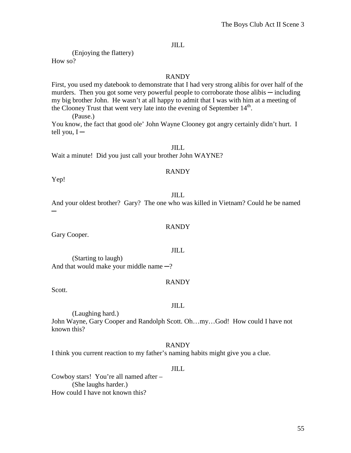(Enjoying the flattery)

How so?

# RANDY

First, you used my datebook to demonstrate that I had very strong alibis for over half of the murders. Then you got some very powerful people to corroborate those alibis  $-$  including my big brother John. He wasn't at all happy to admit that I was with him at a meeting of the Clooney Trust that went very late into the evening of September  $14<sup>th</sup>$ .

(Pause.)

You know, the fact that good ole' John Wayne Clooney got angry certainly didn't hurt. I tell you,  $I -$ 

# JILL

Wait a minute! Did you just call your brother John WAYNE?

# RANDY

Yep!

# JILL

And your oldest brother? Gary? The one who was killed in Vietnam? Could he be named ─

# RANDY

Gary Cooper.

JILL

(Starting to laugh) And that would make your middle name  $-$ ?

# RANDY

Scott.

# JILL

(Laughing hard.)

John Wayne, Gary Cooper and Randolph Scott. Oh…my…God! How could I have not known this?

RANDY

I think you current reaction to my father's naming habits might give you a clue.

# JILL

Cowboy stars! You're all named after – (She laughs harder.) How could I have not known this?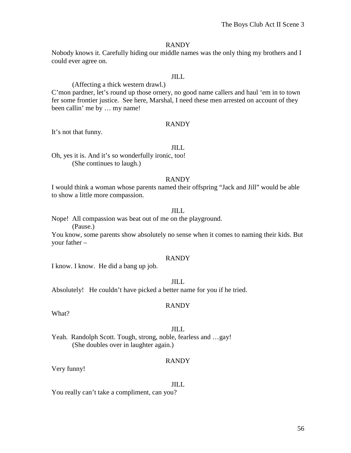Nobody knows it. Carefully hiding our middle names was the only thing my brothers and I could ever agree on.

# JILL

(Affecting a thick western drawl.) C'mon pardner, let's round up those ornery, no good name callers and haul 'em in to town fer some frontier justice. See here, Marshal, I need these men arrested on account of they been callin' me by … my name!

#### RANDY

It's not that funny.

# JILL

Oh, yes it is. And it's so wonderfully ironic, too! (She continues to laugh.)

#### RANDY

I would think a woman whose parents named their offspring "Jack and Jill" would be able to show a little more compassion.

# JILL

Nope! All compassion was beat out of me on the playground.

(Pause.)

You know, some parents show absolutely no sense when it comes to naming their kids. But your father –

#### RANDY

I know. I know. He did a bang up job.

#### JILL

Absolutely! He couldn't have picked a better name for you if he tried.

#### RANDY

What?

#### JILL

Yeah. Randolph Scott. Tough, strong, noble, fearless and …gay! (She doubles over in laughter again.)

#### RANDY

Very funny!

#### JILL

You really can't take a compliment, can you?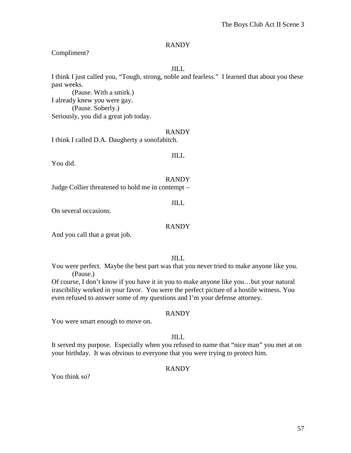# Compliment?

#### JILL

I think I just called you, "Tough, strong, noble and fearless." I learned that about you these past weeks.

(Pause. With a smirk.) I already knew you were gay. (Pause. Soberly.) Seriously, you did a great job today.

#### RANDY

I think I called D.A. Daugherty a sonofabitch.

#### JILL

You did.

# RANDY

Judge Collier threatened to hold me in contempt –

#### JILL

On several occasions.

# RANDY

And you call that a great job.

# JILL

You were perfect. Maybe the best part was that you never tried to make anyone like you. (Pause.)

Of course, I don't know if you have it in you to make anyone like you…but your natural irascibility worked in your favor. You were the perfect picture of a hostile witness. You even refused to answer some of *my* questions and I'm your defense attorney.

# RANDY

You were smart enough to move on.

# JILL

It served my purpose. Especially when you refused to name that "nice man" you met at on your birthday. It was obvious to everyone that you were trying to protect him.

# RANDY

You think so?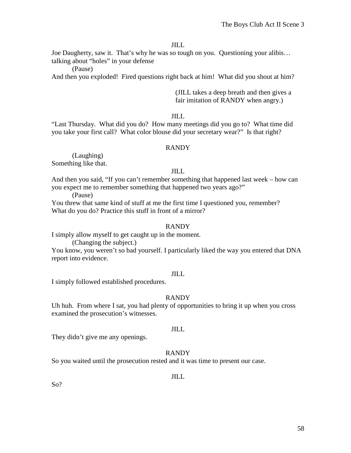Joe Daugherty, saw it. That's why he was so tough on you. Questioning your alibis… talking about "holes" in your defense

(Pause)

And then you exploded! Fired questions right back at him! What did you shout at him?

(JILL takes a deep breath and then gives a fair imitation of RANDY when angry.)

# JILL

"Last Thursday. What did you do? How many meetings did you go to? What time did you take your first call? What color blouse did your secretary wear?" Is that right?

# RANDY

(Laughing) Something like that.

# JILL

And then you said, "If you can't remember something that happened last week – how can you expect me to remember something that happened two years ago?"

(Pause)

You threw that same kind of stuff at me the first time I questioned you, remember? What do you do? Practice this stuff in front of a mirror?

# RANDY

I simply allow myself to get caught up in the moment.

(Changing the subject.)

You know, you weren't so bad yourself. I particularly liked the way you entered that DNA report into evidence.

# JILL

I simply followed established procedures.

# RANDY

Uh huh. From where I sat, you had plenty of opportunities to bring it up when you cross examined the prosecution's witnesses.

# JILL

They didn't give me any openings.

# RANDY

So you waited until the prosecution rested and it was time to present our case.

JILL

So?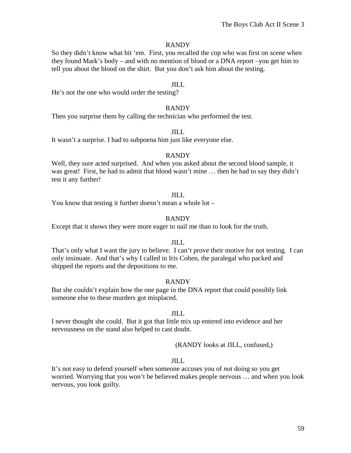So they didn't know what hit 'em. First, you recalled the cop who was first on scene when they found Mark's body – and with no mention of blood or a DNA report –you get him to tell you about the blood on the shirt. But you don't ask him about the testing.

# JILL

He's not the one who would order the testing?

#### RANDY

Then you surprise them by calling the technician who performed the test.

#### JILL

It wasn't a surprise. I had to subpoena him just like everyone else.

# RANDY

Well, they sure acted surprised. And when you asked about the second blood sample, it was great! First, he had to admit that blood wasn't mine … then he had to say they didn't test it any further!

#### JILL

You know that testing it further doesn't mean a whole lot –

# RANDY

Except that it shows they were more eager to nail me than to look for the truth.

# JILL

That's only what I want the jury to believe. I can't prove their motive for not testing. I can only insinuate. And that's why I called in Iris Cohen, the paralegal who packed and shipped the reports and the depositions to me.

# RANDY

But she couldn't explain how the one page in the DNA report that could possibly link someone else to these murders got misplaced.

#### JILL

I never thought she could. But it got that little mix up entered into evidence and her nervousness on the stand also helped to cast doubt.

# (RANDY looks at JILL, confused,)

# $J$  $J$  $J$  $J$  $J$

It's not easy to defend yourself when someone accuses you of *not* doing so you get worried. Worrying that you won't be believed makes people nervous … and when you look nervous, you look guilty.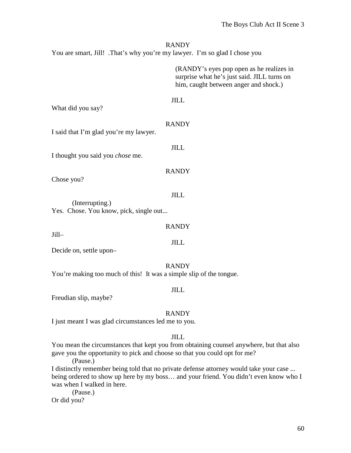You are smart, Jill! .That's why you're my lawyer. I'm so glad I chose you

(RANDY's eyes pop open as he realizes in surprise what he's just said. JILL turns on him, caught between anger and shock.)

#### JILL

What did you say?

# RANDY

JILL

RANDY

JILL

I said that I'm glad you're my lawyer.

I thought you said you *chose* me.

Chose you?

Jill–

# (Interrupting.) Yes. Chose. You know, pick, single out...

RANDY

JILL

Decide on, settle upon–

#### RANDY

You're making too much of this! It was a simple slip of the tongue.

#### JILL

Freudian slip, maybe?

# RANDY

I just meant I was glad circumstances led me to you.

# JILL

You mean the circumstances that kept you from obtaining counsel anywhere, but that also gave you the opportunity to pick and choose so that you could opt for me?

(Pause.)

I distinctly remember being told that no private defense attorney would take your case ... being ordered to show up here by my boss… and your friend. You didn't even know who I was when I walked in here.

(Pause.)

Or did you?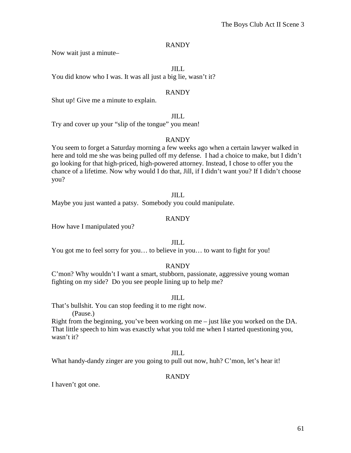Now wait just a minute–

# JILL

You did know who I was. It was all just a big lie, wasn't it?

# RANDY

Shut up! Give me a minute to explain.

# JILL

Try and cover up your "slip of the tongue" you mean!

# RANDY

You seem to forget a Saturday morning a few weeks ago when a certain lawyer walked in here and told me she was being pulled off my defense. I had a choice to make, but I didn't go looking for that high-priced, high-powered attorney. Instead, I chose to offer you the chance of a lifetime. Now why would I do that, Jill, if I didn't want you? If I didn't choose you?

# JILL

Maybe you just wanted a patsy. Somebody you could manipulate.

# RANDY

How have I manipulated you?

# JILL

You got me to feel sorry for you… to believe in you… to want to fight for you!

# RANDY

C'mon? Why wouldn't I want a smart, stubborn, passionate, aggressive young woman fighting on my side? Do you see people lining up to help me?

# JILL

That's bullshit. You can stop feeding it to me right now.

(Pause.)

Right from the beginning, you've been working on me – just like you worked on the DA. That little speech to him was exasctly what you told me when I started questioning you, wasn't it?

# JILL

What handy-dandy zinger are you going to pull out now, huh? C'mon, let's hear it!

# RANDY

I haven't got one.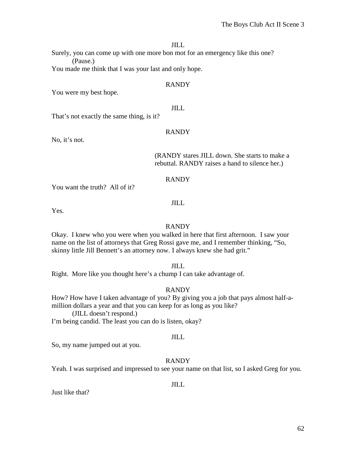Surely, you can come up with one more bon mot for an emergency like this one? (Pause.)

You made me think that I was your last and only hope.

# RANDY

You were my best hope.

# JILL

That's not exactly the same thing, is it?

# RANDY

No, it's not.

#### (RANDY stares JILL down. She starts to make a rebuttal. RANDY raises a hand to silence her.)

# RANDY

You want the truth? All of it?

#### JILL

Yes.

# RANDY

Okay. I knew who you were when you walked in here that first afternoon. I saw your name on the list of attorneys that Greg Rossi gave me, and I remember thinking, "So, skinny little Jill Bennett's an attorney now. I always knew she had grit."

JILL

Right. More like you thought here's a chump I can take advantage of.

# RANDY

How? How have I taken advantage of you? By giving you a job that pays almost half-amillion dollars a year and that you can keep for as long as you like?

(JILL doesn't respond.)

I'm being candid. The least you can do is listen, okay?

# JILL

So, my name jumped out at you.

# RANDY

Yeah. I was surprised and impressed to see your name on that list, so I asked Greg for you.

# JILL

Just like that?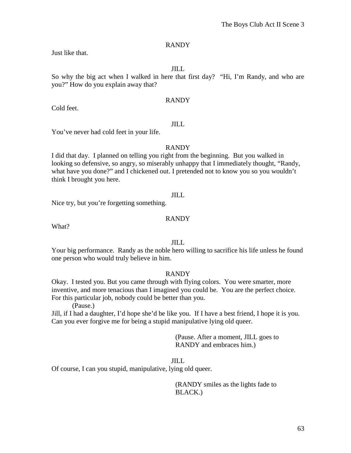Just like that.

JILL

So why the big act when I walked in here that first day? "Hi, I'm Randy, and who are you?" How do you explain away that?

# RANDY

Cold feet.

# JILL

You've never had cold feet in your life.

# RANDY

I did that day. I planned on telling you right from the beginning. But you walked in looking so defensive, so angry, so miserably unhappy that I immediately thought, "Randy, what have you done?" and I chickened out. I pretended not to know you so you wouldn't think I brought you here.

# JILL

Nice try, but you're forgetting something.

# RANDY

What?

# JILL

Your big performance. Randy as the noble hero willing to sacrifice his life unless he found one person who would truly believe in him.

# RANDY

Okay. I tested you. But you came through with flying colors. You were smarter, more inventive, and more tenacious than I imagined you could be. You are the perfect choice. For this particular job, nobody could be better than you.

(Pause.)

Jill, if I had a daughter, I'd hope she'd be like you. If I have a best friend, I hope it is you. Can you ever forgive me for being a stupid manipulative lying old queer.

> (Pause. After a moment, JILL goes to RANDY and embraces him.)

JILL

Of course, I can you stupid, manipulative, lying old queer.

(RANDY smiles as the lights fade to BLACK.)

63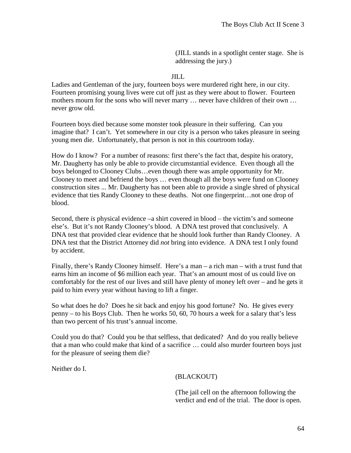(JILL stands in a spotlight center stage. She is addressing the jury.)

# JILL

Ladies and Gentleman of the jury, fourteen boys were murdered right here, in our city. Fourteen promising young lives were cut off just as they were about to flower. Fourteen mothers mourn for the sons who will never marry … never have children of their own … never grow old.

Fourteen boys died because some monster took pleasure in their suffering. Can you imagine that? I can't. Yet somewhere in our city is a person who takes pleasure in seeing young men die. Unfortunately, that person is not in this courtroom today.

How do I know? For a number of reasons: first there's the fact that, despite his oratory, Mr. Daugherty has only be able to provide circumstantial evidence. Even though all the boys belonged to Clooney Clubs…even though there was ample opportunity for Mr. Clooney to meet and befriend the boys … even though all the boys were fund on Clooney construction sites ... Mr. Daugherty has not been able to provide a single shred of physical evidence that ties Randy Clooney to these deaths. Not one fingerprint…not one drop of blood.

Second, there *is* physical evidence –a shirt covered in blood – the victim's and someone else's. But it's not Randy Clooney's blood. A DNA test proved that conclusively. A DNA test that provided clear evidence that he should look further than Randy Clooney. A DNA test that the District Attorney did *not* bring into evidence. A DNA test I only found by accident.

Finally, there's Randy Clooney himself. Here's a man – a rich man – with a trust fund that earns him an income of \$6 million each year. That's an amount most of us could live on comfortably for the rest of our lives and still have plenty of money left over – and he gets it paid to him every year without having to lift a finger.

So what does he do? Does he sit back and enjoy his good fortune? No. He gives every penny – to his Boys Club. Then he works 50, 60, 70 hours a week for a salary that's less than two percent of his trust's annual income.

Could you do that? Could you be that selfless, that dedicated? And do you really believe that a man who could make that kind of a sacrifice … could also murder fourteen boys just for the pleasure of seeing them die?

Neither do I.

(BLACKOUT)

(The jail cell on the afternoon following the verdict and end of the trial. The door is open.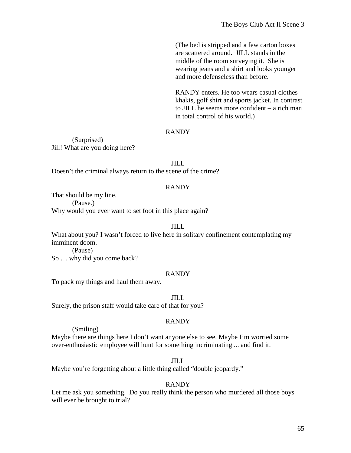(The bed is stripped and a few carton boxes are scattered around. JILL stands in the middle of the room surveying it. She is wearing jeans and a shirt and looks younger and more defenseless than before.

RANDY enters. He too wears casual clothes – khakis, golf shirt and sports jacket. In contrast to JILL he seems more confident – a rich man in total control of his world.)

# RANDY

(Surprised) Jill! What are you doing here?

#### JILL

Doesn't the criminal always return to the scene of the crime?

#### RANDY

That should be my line. (Pause.) Why would you ever want to set foot in this place again?

#### JILL

What about you? I wasn't forced to live here in solitary confinement contemplating my imminent doom.

(Pause) So … why did you come back?

#### RANDY

To pack my things and haul them away.

#### JILL

Surely, the prison staff would take care of that for you?

# RANDY

(Smiling)

Maybe there are things here I don't want anyone else to see. Maybe I'm worried some over-enthusiastic employee will hunt for something incriminating ... and find it.

#### JILL

Maybe you're forgetting about a little thing called "double jeopardy."

#### RANDY

Let me ask you something. Do you really think the person who murdered all those boys will ever be brought to trial?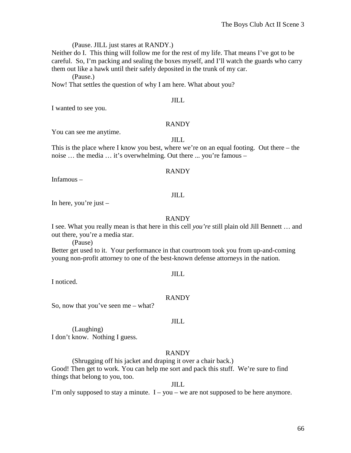#### (Pause. JILL just stares at RANDY.)

Neither do I. This thing will follow me for the rest of my life. That means I've got to be careful. So, I'm packing and sealing the boxes myself, and I'll watch the guards who carry them out like a hawk until their safely deposited in the trunk of my car.

(Pause.)

Now! That settles the question of why I am here. What about you?

#### JILL

I wanted to see you.

#### RANDY

You can see me anytime.

JILL

This is the place where I know you best, where we're on an equal footing. Out there – the noise … the media … it's overwhelming. Out there ... you're famous –

#### RANDY

Infamous –

# JILL

In here, you're just  $-$ 

# RANDY

I see. What you really mean is that here in this cell *you're* still plain old Jill Bennett … and out there, you're a media star.

(Pause)

Better get used to it. Your performance in that courtroom took you from up-and-coming young non-profit attorney to one of the best-known defense attorneys in the nation.

#### JILL

I noticed.

#### RANDY

So, now that you've seen me – what?

# JILL

(Laughing) I don't know. Nothing I guess.

# RANDY

(Shrugging off his jacket and draping it over a chair back.) Good! Then get to work. You can help me sort and pack this stuff. We're sure to find things that belong to you, too.

JILL

I'm only supposed to stay a minute.  $I - you - we$  are not supposed to be here anymore.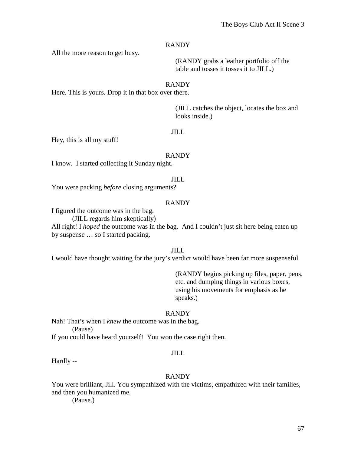All the more reason to get busy.

(RANDY grabs a leather portfolio off the table and tosses it tosses it to JILL.)

#### RANDY

Here. This is yours. Drop it in that box over there.

(JILL catches the object, locates the box and looks inside.)

# JILL

Hey, this is all my stuff!

#### RANDY

I know. I started collecting it Sunday night.

#### JILL

You were packing *before* closing arguments?

# RANDY

I figured the outcome was in the bag.

(JILL regards him skeptically)

All right! I *hoped* the outcome was in the bag. And I couldn't just sit here being eaten up by suspense … so I started packing.

JILL

I would have thought waiting for the jury's verdict would have been far more suspenseful.

(RANDY begins picking up files, paper, pens, etc. and dumping things in various boxes, using his movements for emphasis as he speaks.)

#### RANDY

Nah! That's when I *knew* the outcome was in the bag. (Pause)

If you could have heard yourself! You won the case right then.

#### JILL

Hardly --

#### RANDY

You were brilliant, Jill. You sympathized with the victims, empathized with their families, and then you humanized me.

(Pause.)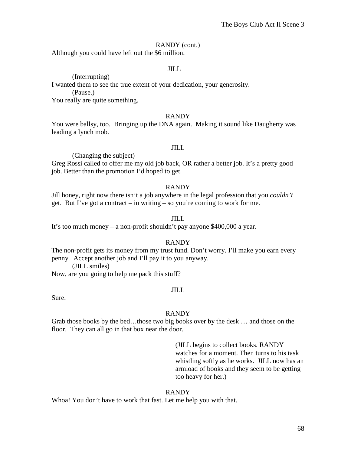# RANDY (cont.)

Although you could have left out the \$6 million.

#### JILL

(Interrupting) I wanted them to see the true extent of your dedication, your generosity. (Pause.)

You really are quite something.

#### RANDY

You were ballsy, too. Bringing up the DNA again. Making it sound like Daugherty was leading a lynch mob.

# JILL

(Changing the subject)

Greg Rossi called to offer me my old job back, OR rather a better job. It's a pretty good job. Better than the promotion I'd hoped to get.

#### RANDY

Jill honey, right now there isn't a job anywhere in the legal profession that you *couldn't* get. But I've got a contract – in writing – so you're coming to work for me.

# JILL

It's too much money – a non-profit shouldn't pay anyone \$400,000 a year.

# RANDY

The non-profit gets its money from my trust fund. Don't worry. I'll make you earn every penny. Accept another job and I'll pay it to you anyway.

(JILL smiles)

Now, are you going to help me pack this stuff?

# JILL

Sure.

# RANDY

Grab those books by the bed…those two big books over by the desk … and those on the floor. They can all go in that box near the door.

> (JILL begins to collect books. RANDY watches for a moment. Then turns to his task whistling softly as he works. JILL now has an armload of books and they seem to be getting too heavy for her.)

# RANDY

Whoa! You don't have to work that fast. Let me help you with that.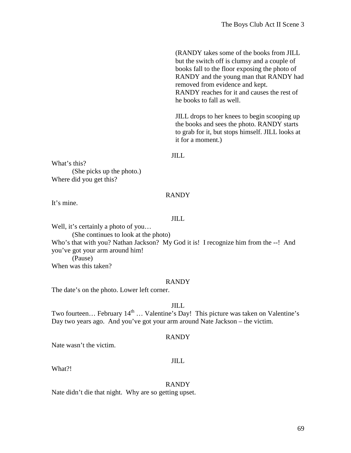(RANDY takes some of the books from JILL but the switch off is clumsy and a couple of books fall to the floor exposing the photo of RANDY and the young man that RANDY had removed from evidence and kept. RANDY reaches for it and causes the rest of he books to fall as well.

JILL drops to her knees to begin scooping up the books and sees the photo. RANDY starts to grab for it, but stops himself. JILL looks at it for a moment.)

#### JILL

What's this? (She picks up the photo.) Where did you get this?

#### RANDY

It's mine.

# JILL

Well, it's certainly a photo of you... (She continues to look at the photo) Who's that with you? Nathan Jackson? My God it is! I recognize him from the --! And you've got your arm around him! (Pause) When was this taken?

#### RANDY

The date's on the photo. Lower left corner.

JILL

Two fourteen... February  $14<sup>th</sup>$  ... Valentine's Day! This picture was taken on Valentine's Day two years ago. And you've got your arm around Nate Jackson – the victim.

#### RANDY

Nate wasn't the victim.

#### JILL

What?!

#### RANDY

Nate didn't die that night. Why are so getting upset.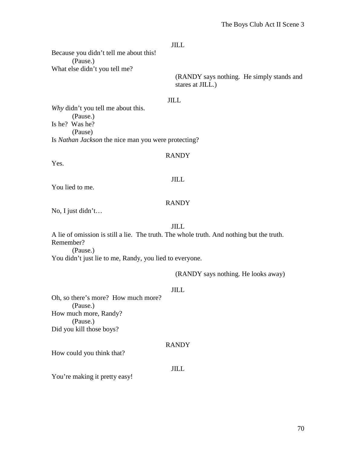Because you didn't tell me about this! (Pause.) What else didn't you tell me?

> (RANDY says nothing. He simply stands and stares at JILL.)

#### JILL

*Why* didn't you tell me about this. (Pause.) Is he? Was he? (Pause) Is *Nathan Jackson* the nice man you were protecting?

#### RANDY

Yes.

# JILL

You lied to me.

#### RANDY

No, I just didn't…

#### JILL

A lie of omission is still a lie. The truth. The whole truth. And nothing but the truth. Remember?

(Pause.)

You didn't just lie to me, Randy, you lied to everyone.

#### (RANDY says nothing. He looks away)

#### JILL

Oh, so there's more? How much more? (Pause.) How much more, Randy? (Pause.) Did you kill those boys?

#### RANDY

How could you think that?

# JILL

You're making it pretty easy!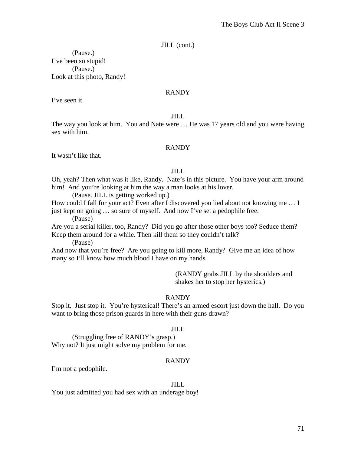JILL (cont.)

(Pause.) I've been so stupid! (Pause.) Look at this photo, Randy!

#### RANDY

I've seen it.

#### JILL

The way you look at him. You and Nate were … He was 17 years old and you were having sex with him.

# RANDY

It wasn't like that.

#### JILL

Oh, yeah? Then what was it like, Randy. Nate's in this picture. You have your arm around him! And you're looking at him the way a man looks at his lover.

(Pause. JILL is getting worked up.)

How could I fall for your act? Even after I discovered you lied about not knowing me … I just kept on going … so sure of myself. And now I've set a pedophile free.

(Pause)

Are you a serial killer, too, Randy? Did you go after those other boys too? Seduce them? Keep them around for a while. Then kill them so they couldn't talk?

(Pause)

And now that you're free? Are you going to kill more, Randy? Give me an idea of how many so I'll know how much blood I have on my hands.

> (RANDY grabs JILL by the shoulders and shakes her to stop her hysterics.)

# RANDY

Stop it. Just stop it. You're hysterical! There's an armed escort just down the hall. Do you want to bring those prison guards in here with their guns drawn?

# JILL

(Struggling free of RANDY's grasp.) Why not? It just might solve my problem for me.

# RANDY

I'm not a pedophile.

#### JILL

You just admitted you had sex with an underage boy!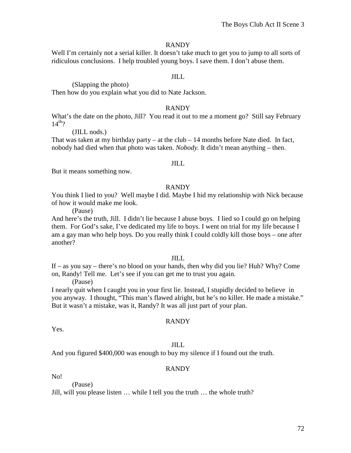Well I'm certainly not a serial killer. It doesn't take much to get you to jump to all sorts of ridiculous conclusions. I help troubled young boys. I save them. I don't abuse them.

# JILL

(Slapping the photo)

Then how do you explain what you did to Nate Jackson.

#### RANDY

What's the date on the photo, Jill? You read it out to me a moment go? Still say February  $14^{th}$ ?

#### (JILL nods.)

That was taken at my birthday party – at the club  $-14$  months before Nate died. In fact, nobody had died when that photo was taken. *Nobody.* It didn't mean anything – then.

#### JILL

But it means something now.

#### RANDY

You think I lied to you? Well maybe I did. Maybe I hid my relationship with Nick because of how it would make me look.

(Pause)

And here's the truth, Jill. I didn't lie because I abuse boys. I lied so I could go on helping them. For God's sake, I've dedicated my life to boys. I went on trial for my life because I am a gay man who help boys. Do you really think I could coldly kill those boys – one after another?

# JILL

If – as you say – there's no blood on your hands, then why did you lie? Huh? Why? Come on, Randy! Tell me. Let's see if you can get me to trust you again.

(Pause)

(Pause)

I nearly quit when I caught you in your first lie. Instead, I stupidly decided to believe in you anyway. I thought, "This man's flawed alright, but he's no killer. He made a mistake." But it wasn't a mistake, was it, Randy? It was all just part of your plan.

# RANDY

Yes.

# JILL

And you figured \$400,000 was enough to buy my silence if I found out the truth.

# RANDY

No!

Jill, will you please listen … while I tell you the truth … the whole truth?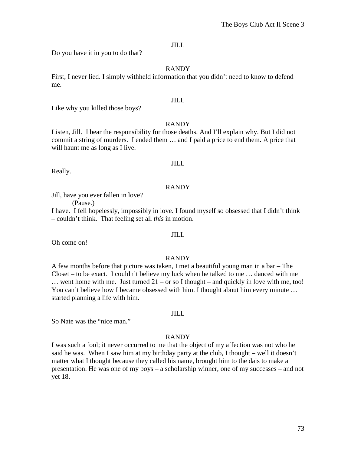Do you have it in you to do that?

# RANDY

First, I never lied. I simply withheld information that you didn't need to know to defend me.

#### JILL

Like why you killed those boys?

#### RANDY

Listen, Jill. I bear the responsibility for those deaths. And I'll explain why. But I did not commit a string of murders. I ended them … and I paid a price to end them. A price that will haunt me as long as I live.

#### JILL

Really.

#### RANDY

Jill, have you ever fallen in love?

(Pause.)

I have. I fell hopelessly, impossibly in love. I found myself so obsessed that I didn't think – couldn't think. That feeling set all *this* in motion.

Oh come on!

# RANDY

JILL

A few months before that picture was taken, I met a beautiful young man in a bar – The Closet – to be exact. I couldn't believe my luck when he talked to me … danced with me  $\ldots$  went home with me. Just turned 21 – or so I thought – and quickly in love with me, too! You can't believe how I became obsessed with him. I thought about him every minute … started planning a life with him.

#### JILL

So Nate was the "nice man."

# RANDY

I was such a fool; it never occurred to me that the object of my affection was not who he said he was. When I saw him at my birthday party at the club, I thought – well it doesn't matter what I thought because they called his name, brought him to the dais to make a presentation. He was one of my boys – a scholarship winner, one of my successes – and not yet 18.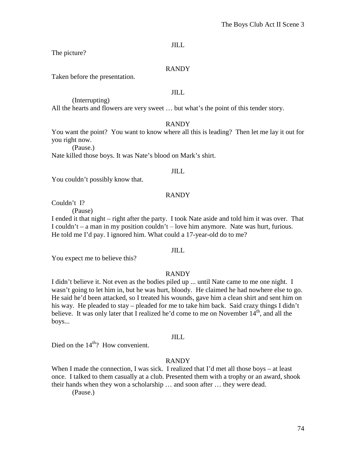JILL

The picture?

### RANDY

Taken before the presentation.

# JILL

(Interrupting) All the hearts and flowers are very sweet … but what's the point of this tender story.

#### RANDY

You want the point? You want to know where all this is leading? Then let me lay it out for you right now.

(Pause.)

Nate killed those boys. It was Nate's blood on Mark's shirt.

# JILL

You couldn't possibly know that.

### RANDY

Couldn't I?

(Pause)

I ended it that night – right after the party. I took Nate aside and told him it was over. That I couldn't – a man in my position couldn't – love him anymore. Nate was hurt, furious. He told me I'd pay. I ignored him. What could a 17-year-old do to me?

### JILL

You expect me to believe this?

# RANDY

I didn't believe it. Not even as the bodies piled up ... until Nate came to me one night. I wasn't going to let him in, but he was hurt, bloody. He claimed he had nowhere else to go. He said he'd been attacked, so I treated his wounds, gave him a clean shirt and sent him on his way. He pleaded to stay – pleaded for me to take him back. Said crazy things I didn't believe. It was only later that I realized he'd come to me on November  $14<sup>th</sup>$ , and all the boys...

#### JILL

Died on the  $14<sup>th</sup>$ ? How convenient.

## RANDY

When I made the connection, I was sick. I realized that I'd met all those boys – at least once. I talked to them casually at a club. Presented them with a trophy or an award, shook their hands when they won a scholarship … and soon after … they were dead.

(Pause.)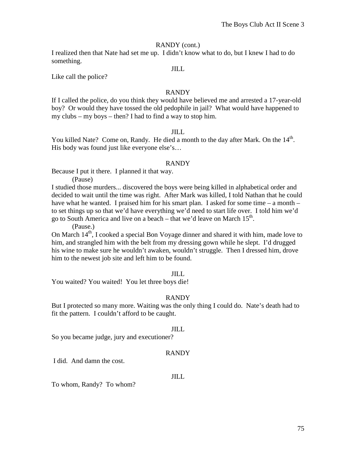## RANDY (cont.)

I realized then that Nate had set me up. I didn't know what to do, but I knew I had to do something.

### JILL

Like call the police?

### RANDY

If I called the police, do you think they would have believed me and arrested a 17-year-old boy? Or would they have tossed the old pedophile in jail? What would have happened to my clubs – my boys – then? I had to find a way to stop him.

### JILL

You killed Nate? Come on, Randy. He died a month to the day after Mark. On the 14<sup>th</sup>. His body was found just like everyone else's…

#### RANDY

Because I put it there. I planned it that way.

(Pause)

I studied those murders... discovered the boys were being killed in alphabetical order and decided to wait until the time was right. After Mark was killed, I told Nathan that he could have what he wanted. I praised him for his smart plan. I asked for some time  $-$  a month  $$ to set things up so that we'd have everything we'd need to start life over. I told him we'd go to South America and live on a beach – that we'd leave on March  $15<sup>th</sup>$ .

(Pause.)

On March  $14<sup>th</sup>$ , I cooked a special Bon Voyage dinner and shared it with him, made love to him, and strangled him with the belt from my dressing gown while he slept. I'd drugged his wine to make sure he wouldn't awaken, wouldn't struggle. Then I dressed him, drove him to the newest job site and left him to be found.

#### JILL

You waited? You waited! You let three boys die!

## RANDY

But I protected so many more. Waiting was the only thing I could do. Nate's death had to fit the pattern. I couldn't afford to be caught.

#### JILL

So you became judge, jury and executioner?

## RANDY

I did. And damn the cost.

#### JILL

To whom, Randy? To whom?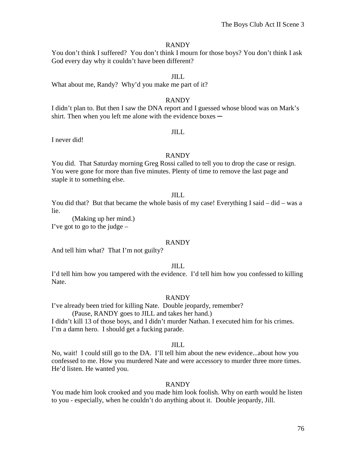#### RANDY

You don't think I suffered? You don't think I mourn for those boys? You don't think I ask God every day why it couldn't have been different?

#### JILL

What about me, Randy? Why'd you make me part of it?

#### RANDY

I didn't plan to. But then I saw the DNA report and I guessed whose blood was on Mark's shirt. Then when you left me alone with the evidence boxes  $-$ 

#### JILL

I never did!

#### RANDY

You did. That Saturday morning Greg Rossi called to tell you to drop the case or resign. You were gone for more than five minutes. Plenty of time to remove the last page and staple it to something else.

#### JILL

You did that? But that became the whole basis of my case! Everything I said – did – was a lie.

(Making up her mind.) I've got to go to the judge  $-$ 

### RANDY

And tell him what? That I'm not guilty?

#### JILL

I'd tell him how you tampered with the evidence. I'd tell him how you confessed to killing Nate.

#### RANDY

I've already been tried for killing Nate. Double jeopardy, remember?

(Pause, RANDY goes to JILL and takes her hand.)

I didn't kill 13 of those boys, and I didn't murder Nathan. I executed him for his crimes. I'm a damn hero. I should get a fucking parade.

#### JILL

No, wait! I could still go to the DA. I'll tell him about the new evidence...about how you confessed to me. How you murdered Nate and were accessory to murder three more times. He'd listen. He wanted you.

#### RANDY

You made him look crooked and you made him look foolish. Why on earth would he listen to you - especially, when he couldn't do anything about it. Double jeopardy, Jill.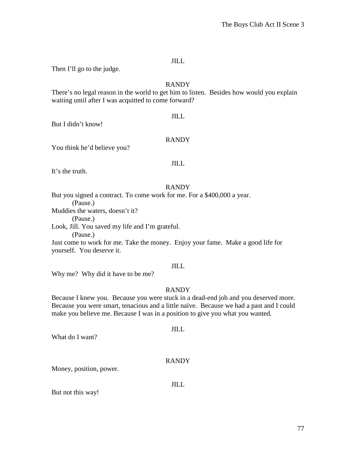#### JILL

Then I'll go to the judge.

# RANDY

There's no legal reason in the world to get him to listen. Besides how would you explain waiting until after I was acquitted to come forward?

#### JILL

But I didn't know!

## RANDY

You think he'd believe you?

### JILL

It's the truth.

### RANDY

But you signed a contract. To come work for me. For a \$400,000 a year. (Pause.) Muddies the waters, doesn't it? (Pause.) Look, Jill. You saved my life and I'm grateful. (Pause.) Just come to work for me. Take the money. Enjoy your fame. Make a good life for yourself. You deserve it.

#### JILL

Why me? Why did it have to be me?

## RANDY

Because I knew you. Because you were stuck in a dead-end job and you deserved more. Because you were smart, tenacious and a little naïve. Because we had a past and I could make you believe me. Because I was in a position to give you what you wanted.

What do I want?

# RANDY

JILL

Money, position, power.

JILL

But not this way!